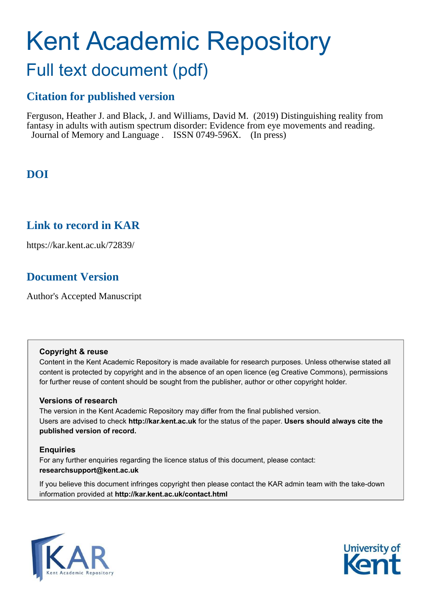# Kent Academic Repository

# Full text document (pdf)

# **Citation for published version**

Ferguson, Heather J. and Black, J. and Williams, David M. (2019) Distinguishing reality from fantasy in adults with autism spectrum disorder: Evidence from eye movements and reading. Journal of Memory and Language . ISSN 0749-596X. (In press)

# **DOI**

# **Link to record in KAR**

https://kar.kent.ac.uk/72839/

# **Document Version**

Author's Accepted Manuscript

# **Copyright & reuse**

Content in the Kent Academic Repository is made available for research purposes. Unless otherwise stated all content is protected by copyright and in the absence of an open licence (eg Creative Commons), permissions for further reuse of content should be sought from the publisher, author or other copyright holder.

# **Versions of research**

The version in the Kent Academic Repository may differ from the final published version. Users are advised to check **http://kar.kent.ac.uk** for the status of the paper. **Users should always cite the published version of record.**

# **Enquiries**

For any further enquiries regarding the licence status of this document, please contact: **researchsupport@kent.ac.uk**

If you believe this document infringes copyright then please contact the KAR admin team with the take-down information provided at **http://kar.kent.ac.uk/contact.html**



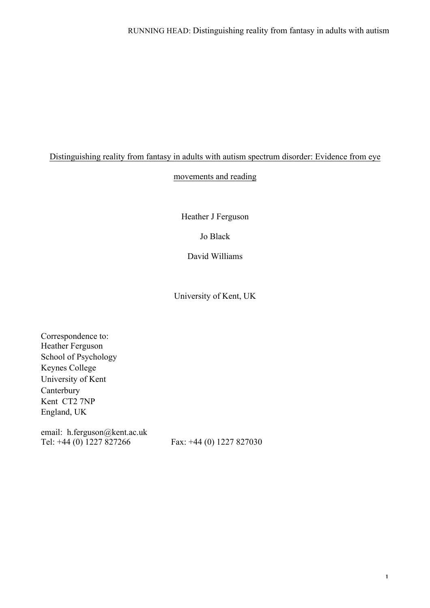# Distinguishing reality from fantasy in adults with autism spectrum disorder: Evidence from eye

# movements and reading

Heather J Ferguson

Jo Black

David Williams

University of Kent, UK

Correspondence to: Heather Ferguson School of Psychology Keynes College University of Kent **Canterbury** Kent CT2 7NP England, UK

email: h.ferguson@kent.ac.uk<br>Tel: +44 (0) 1227 827266

Fax: +44 (0) 1227 827030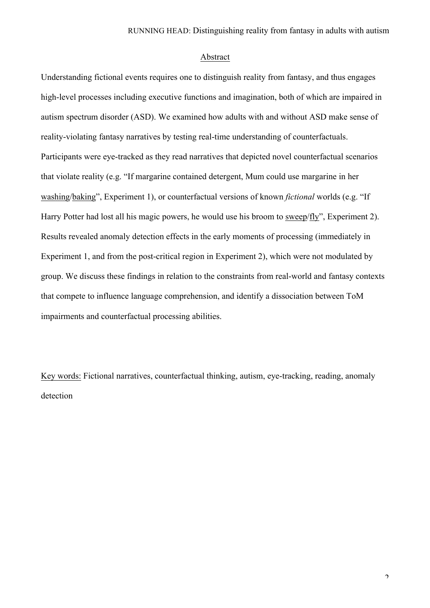#### Abstract

Understanding fictional events requires one to distinguish reality from fantasy, and thus engages high-level processes including executive functions and imagination, both of which are impaired in autism spectrum disorder (ASD). We examined how adults with and without ASD make sense of reality-violating fantasy narratives by testing real-time understanding of counterfactuals. Participants were eye-tracked as they read narratives that depicted novel counterfactual scenarios that violate reality (e.g. "If margarine contained detergent, Mum could use margarine in her washing/baking", Experiment 1), or counterfactual versions of known *fictional* worlds (e.g. "If Harry Potter had lost all his magic powers, he would use his broom to sweep/fly", Experiment 2). Results revealed anomaly detection effects in the early moments of processing (immediately in Experiment 1, and from the post-critical region in Experiment 2), which were not modulated by group. We discuss these findings in relation to the constraints from real-world and fantasy contexts that compete to influence language comprehension, and identify a dissociation between ToM impairments and counterfactual processing abilities.

Key words: Fictional narratives, counterfactual thinking, autism, eye-tracking, reading, anomaly detection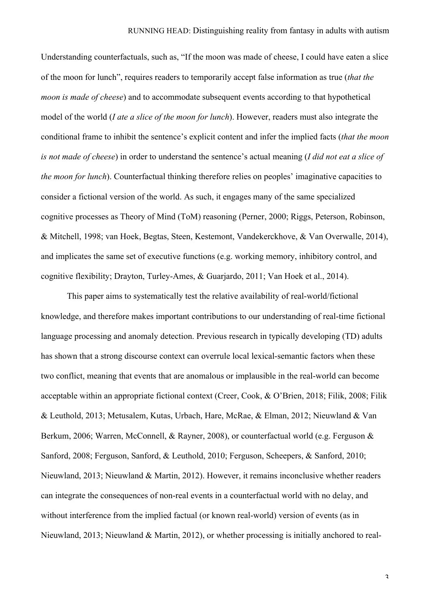Understanding counterfactuals, such as, "If the moon was made of cheese, I could have eaten a slice of the moon for lunch", requires readers to temporarily accept false information as true (*that the moon is made of cheese*) and to accommodate subsequent events according to that hypothetical model of the world (*I ate a slice of the moon for lunch*). However, readers must also integrate the conditional frame to inhibit the sentence's explicit content and infer the implied facts (*that the moon is not made of cheese*) in order to understand the sentence's actual meaning (*I did not eat a slice of the moon for lunch*). Counterfactual thinking therefore relies on peoples' imaginative capacities to consider a fictional version of the world. As such, it engages many of the same specialized cognitive processes as Theory of Mind (ToM) reasoning (Perner, 2000; Riggs, Peterson, Robinson, & Mitchell, 1998; van Hoek, Begtas, Steen, Kestemont, Vandekerckhove, & Van Overwalle, 2014), and implicates the same set of executive functions (e.g. working memory, inhibitory control, and cognitive flexibility; Drayton, Turley-Ames, & Guarjardo, 2011; Van Hoek et al., 2014).

This paper aims to systematically test the relative availability of real-world/fictional knowledge, and therefore makes important contributions to our understanding of real-time fictional language processing and anomaly detection. Previous research in typically developing (TD) adults has shown that a strong discourse context can overrule local lexical-semantic factors when these two conflict, meaning that events that are anomalous or implausible in the real-world can become acceptable within an appropriate fictional context (Creer, Cook, & O'Brien, 2018; Filik, 2008; Filik & Leuthold, 2013; Metusalem, Kutas, Urbach, Hare, McRae, & Elman, 2012; Nieuwland & Van Berkum, 2006; Warren, McConnell, & Rayner, 2008), or counterfactual world (e.g. Ferguson & Sanford, 2008; Ferguson, Sanford, & Leuthold, 2010; Ferguson, Scheepers, & Sanford, 2010; Nieuwland, 2013; Nieuwland & Martin, 2012). However, it remains inconclusive whether readers can integrate the consequences of non-real events in a counterfactual world with no delay, and without interference from the implied factual (or known real-world) version of events (as in Nieuwland, 2013; Nieuwland & Martin, 2012), or whether processing is initially anchored to real-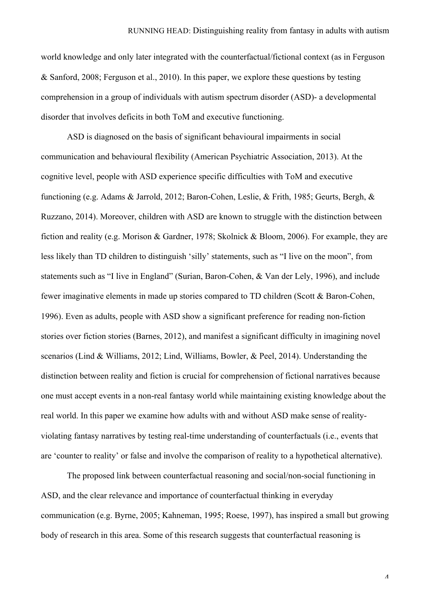world knowledge and only later integrated with the counterfactual/fictional context (as in Ferguson & Sanford, 2008; Ferguson et al., 2010). In this paper, we explore these questions by testing comprehension in a group of individuals with autism spectrum disorder (ASD)- a developmental disorder that involves deficits in both ToM and executive functioning.

ASD is diagnosed on the basis of significant behavioural impairments in social communication and behavioural flexibility (American Psychiatric Association, 2013). At the cognitive level, people with ASD experience specific difficulties with ToM and executive functioning (e.g. Adams & Jarrold, 2012; Baron-Cohen, Leslie, & Frith, 1985; Geurts, Bergh, & Ruzzano, 2014). Moreover, children with ASD are known to struggle with the distinction between fiction and reality (e.g. Morison & Gardner, 1978; Skolnick & Bloom, 2006). For example, they are less likely than TD children to distinguish 'silly' statements, such as "I live on the moon", from statements such as "I live in England" (Surian, Baron-Cohen, & Van der Lely, 1996), and include fewer imaginative elements in made up stories compared to TD children (Scott & Baron-Cohen, 1996). Even as adults, people with ASD show a significant preference for reading non-fiction stories over fiction stories (Barnes, 2012), and manifest a significant difficulty in imagining novel scenarios (Lind & Williams, 2012; Lind, Williams, Bowler, & Peel, 2014). Understanding the distinction between reality and fiction is crucial for comprehension of fictional narratives because one must accept events in a non-real fantasy world while maintaining existing knowledge about the real world. In this paper we examine how adults with and without ASD make sense of realityviolating fantasy narratives by testing real-time understanding of counterfactuals (i.e., events that are 'counter to reality' or false and involve the comparison of reality to a hypothetical alternative).

The proposed link between counterfactual reasoning and social/non-social functioning in ASD, and the clear relevance and importance of counterfactual thinking in everyday communication (e.g. Byrne, 2005; Kahneman, 1995; Roese, 1997), has inspired a small but growing body of research in this area. Some of this research suggests that counterfactual reasoning is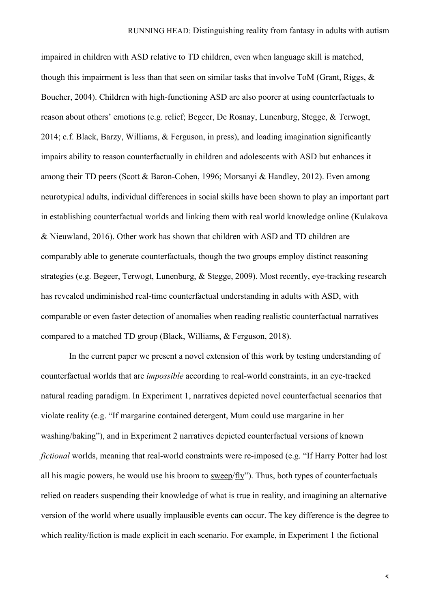impaired in children with ASD relative to TD children, even when language skill is matched, though this impairment is less than that seen on similar tasks that involve ToM (Grant, Riggs,  $\&$ Boucher, 2004). Children with high-functioning ASD are also poorer at using counterfactuals to reason about others' emotions (e.g. relief; Begeer, De Rosnay, Lunenburg, Stegge, & Terwogt, 2014; c.f. Black, Barzy, Williams, & Ferguson, in press), and loading imagination significantly impairs ability to reason counterfactually in children and adolescents with ASD but enhances it among their TD peers (Scott & Baron-Cohen, 1996; Morsanyi & Handley, 2012). Even among neurotypical adults, individual differences in social skills have been shown to play an important part in establishing counterfactual worlds and linking them with real world knowledge online (Kulakova & Nieuwland, 2016). Other work has shown that children with ASD and TD children are comparably able to generate counterfactuals, though the two groups employ distinct reasoning strategies (e.g. Begeer, Terwogt, Lunenburg, & Stegge, 2009). Most recently, eye-tracking research has revealed undiminished real-time counterfactual understanding in adults with ASD, with comparable or even faster detection of anomalies when reading realistic counterfactual narratives compared to a matched TD group (Black, Williams, & Ferguson, 2018).

In the current paper we present a novel extension of this work by testing understanding of counterfactual worlds that are *impossible* according to real-world constraints, in an eye-tracked natural reading paradigm. In Experiment 1, narratives depicted novel counterfactual scenarios that violate reality (e.g. "If margarine contained detergent, Mum could use margarine in her washing/baking"), and in Experiment 2 narratives depicted counterfactual versions of known *fictional* worlds, meaning that real-world constraints were re-imposed (e.g. "If Harry Potter had lost all his magic powers, he would use his broom to sweep/fly"). Thus, both types of counterfactuals relied on readers suspending their knowledge of what is true in reality, and imagining an alternative version of the world where usually implausible events can occur. The key difference is the degree to which reality/fiction is made explicit in each scenario. For example, in Experiment 1 the fictional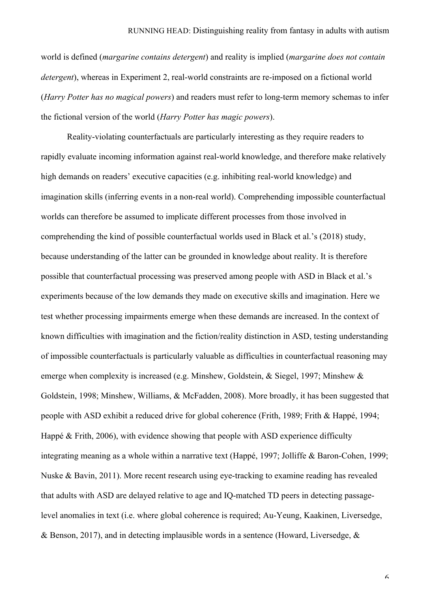world is defined (*margarine contains detergent*) and reality is implied (*margarine does not contain detergent*), whereas in Experiment 2, real-world constraints are re-imposed on a fictional world (*Harry Potter has no magical powers*) and readers must refer to long-term memory schemas to infer the fictional version of the world (*Harry Potter has magic powers*).

Reality-violating counterfactuals are particularly interesting as they require readers to rapidly evaluate incoming information against real-world knowledge, and therefore make relatively high demands on readers' executive capacities (e.g. inhibiting real-world knowledge) and imagination skills (inferring events in a non-real world). Comprehending impossible counterfactual worlds can therefore be assumed to implicate different processes from those involved in comprehending the kind of possible counterfactual worlds used in Black et al.'s (2018) study, because understanding of the latter can be grounded in knowledge about reality. It is therefore possible that counterfactual processing was preserved among people with ASD in Black et al.'s experiments because of the low demands they made on executive skills and imagination. Here we test whether processing impairments emerge when these demands are increased. In the context of known difficulties with imagination and the fiction/reality distinction in ASD, testing understanding of impossible counterfactuals is particularly valuable as difficulties in counterfactual reasoning may emerge when complexity is increased (e.g. Minshew, Goldstein, & Siegel, 1997; Minshew & Goldstein, 1998; Minshew, Williams, & McFadden, 2008). More broadly, it has been suggested that people with ASD exhibit a reduced drive for global coherence (Frith, 1989; Frith & Happé, 1994; Happé & Frith, 2006), with evidence showing that people with ASD experience difficulty integrating meaning as a whole within a narrative text (Happé, 1997; Jolliffe & Baron-Cohen, 1999; Nuske & Bavin, 2011). More recent research using eye-tracking to examine reading has revealed that adults with ASD are delayed relative to age and IQ-matched TD peers in detecting passagelevel anomalies in text (i.e. where global coherence is required; Au-Yeung, Kaakinen, Liversedge, & Benson, 2017), and in detecting implausible words in a sentence (Howard, Liversedge, &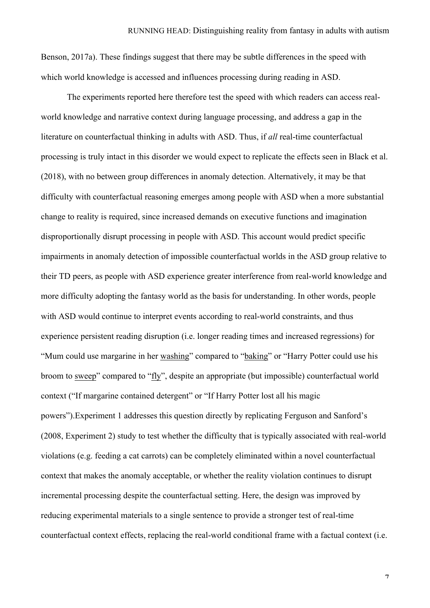Benson, 2017a). These findings suggest that there may be subtle differences in the speed with which world knowledge is accessed and influences processing during reading in ASD.

The experiments reported here therefore test the speed with which readers can access realworld knowledge and narrative context during language processing, and address a gap in the literature on counterfactual thinking in adults with ASD. Thus, if *all* real-time counterfactual processing is truly intact in this disorder we would expect to replicate the effects seen in Black et al. (2018), with no between group differences in anomaly detection. Alternatively, it may be that difficulty with counterfactual reasoning emerges among people with ASD when a more substantial change to reality is required, since increased demands on executive functions and imagination disproportionally disrupt processing in people with ASD. This account would predict specific impairments in anomaly detection of impossible counterfactual worlds in the ASD group relative to their TD peers, as people with ASD experience greater interference from real-world knowledge and more difficulty adopting the fantasy world as the basis for understanding. In other words, people with ASD would continue to interpret events according to real-world constraints, and thus experience persistent reading disruption (i.e. longer reading times and increased regressions) for "Mum could use margarine in her washing" compared to "baking" or "Harry Potter could use his broom to sweep" compared to "fly", despite an appropriate (but impossible) counterfactual world context ("If margarine contained detergent" or "If Harry Potter lost all his magic powers").Experiment 1 addresses this question directly by replicating Ferguson and Sanford's (2008, Experiment 2) study to test whether the difficulty that is typically associated with real-world violations (e.g. feeding a cat carrots) can be completely eliminated within a novel counterfactual context that makes the anomaly acceptable, or whether the reality violation continues to disrupt incremental processing despite the counterfactual setting. Here, the design was improved by reducing experimental materials to a single sentence to provide a stronger test of real-time counterfactual context effects, replacing the real-world conditional frame with a factual context (i.e.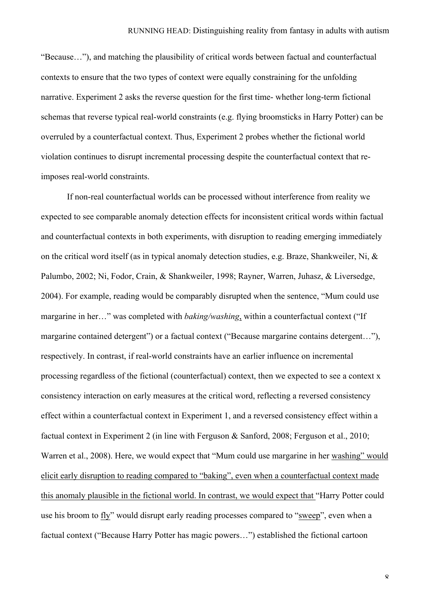"Because…"), and matching the plausibility of critical words between factual and counterfactual contexts to ensure that the two types of context were equally constraining for the unfolding narrative. Experiment 2 asks the reverse question for the first time- whether long-term fictional schemas that reverse typical real-world constraints (e.g. flying broomsticks in Harry Potter) can be overruled by a counterfactual context. Thus, Experiment 2 probes whether the fictional world violation continues to disrupt incremental processing despite the counterfactual context that reimposes real-world constraints.

If non-real counterfactual worlds can be processed without interference from reality we expected to see comparable anomaly detection effects for inconsistent critical words within factual and counterfactual contexts in both experiments, with disruption to reading emerging immediately on the critical word itself (as in typical anomaly detection studies, e.g. Braze, Shankweiler, Ni, & Palumbo, 2002; Ni, Fodor, Crain, & Shankweiler, 1998; Rayner, Warren, Juhasz, & Liversedge, 2004). For example, reading would be comparably disrupted when the sentence, "Mum could use margarine in her…" was completed with *baking/washing*, within a counterfactual context ("If margarine contained detergent") or a factual context ("Because margarine contains detergent…"), respectively. In contrast, if real-world constraints have an earlier influence on incremental processing regardless of the fictional (counterfactual) context, then we expected to see a context x consistency interaction on early measures at the critical word, reflecting a reversed consistency effect within a counterfactual context in Experiment 1, and a reversed consistency effect within a factual context in Experiment 2 (in line with Ferguson & Sanford, 2008; Ferguson et al., 2010; Warren et al., 2008). Here, we would expect that "Mum could use margarine in her washing" would elicit early disruption to reading compared to "baking", even when a counterfactual context made this anomaly plausible in the fictional world. In contrast, we would expect that "Harry Potter could use his broom to fly" would disrupt early reading processes compared to "sweep", even when a factual context ("Because Harry Potter has magic powers…") established the fictional cartoon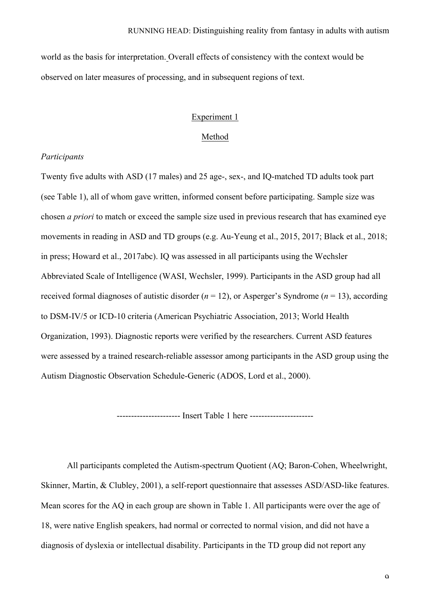world as the basis for interpretation. Overall effects of consistency with the context would be observed on later measures of processing, and in subsequent regions of text.

#### Experiment 1

#### Method

#### *Participants*

Twenty five adults with ASD (17 males) and 25 age-, sex-, and IQ-matched TD adults took part (see Table 1), all of whom gave written, informed consent before participating. Sample size was chosen *a priori* to match or exceed the sample size used in previous research that has examined eye movements in reading in ASD and TD groups (e.g. Au-Yeung et al., 2015, 2017; Black et al., 2018; in press; Howard et al., 2017abc). IQ was assessed in all participants using the Wechsler Abbreviated Scale of Intelligence (WASI, Wechsler, 1999). Participants in the ASD group had all received formal diagnoses of autistic disorder  $(n = 12)$ , or Asperger's Syndrome  $(n = 13)$ , according to DSM-IV/5 or ICD-10 criteria (American Psychiatric Association, 2013; World Health Organization, 1993). Diagnostic reports were verified by the researchers. Current ASD features were assessed by a trained research-reliable assessor among participants in the ASD group using the Autism Diagnostic Observation Schedule-Generic (ADOS, Lord et al., 2000).

---------------------- Insert Table 1 here ----------------------

All participants completed the Autism-spectrum Quotient (AQ; Baron-Cohen, Wheelwright, Skinner, Martin, & Clubley, 2001), a self-report questionnaire that assesses ASD/ASD-like features. Mean scores for the AQ in each group are shown in Table 1. All participants were over the age of 18, were native English speakers, had normal or corrected to normal vision, and did not have a diagnosis of dyslexia or intellectual disability. Participants in the TD group did not report any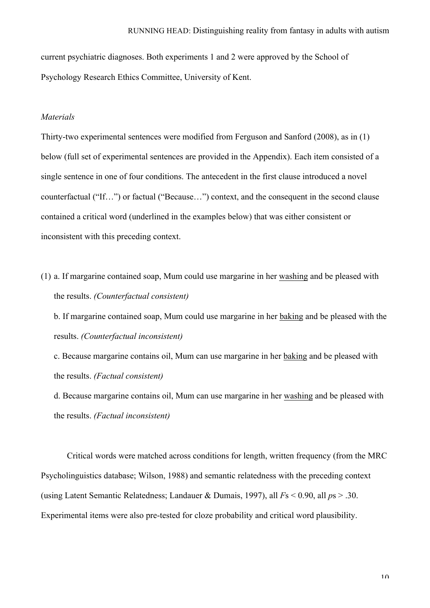current psychiatric diagnoses. Both experiments 1 and 2 were approved by the School of Psychology Research Ethics Committee, University of Kent.

#### *Materials*

Thirty-two experimental sentences were modified from Ferguson and Sanford (2008), as in (1) below (full set of experimental sentences are provided in the Appendix). Each item consisted of a single sentence in one of four conditions. The antecedent in the first clause introduced a novel counterfactual ("If…") or factual ("Because…") context, and the consequent in the second clause contained a critical word (underlined in the examples below) that was either consistent or inconsistent with this preceding context.

(1) a. If margarine contained soap, Mum could use margarine in her washing and be pleased with the results. *(Counterfactual consistent)*

b. If margarine contained soap, Mum could use margarine in her baking and be pleased with the results. *(Counterfactual inconsistent)*

c. Because margarine contains oil, Mum can use margarine in her baking and be pleased with the results. *(Factual consistent)*

d. Because margarine contains oil, Mum can use margarine in her washing and be pleased with the results. *(Factual inconsistent)*

Critical words were matched across conditions for length, written frequency (from the MRC Psycholinguistics database; Wilson, 1988) and semantic relatedness with the preceding context (using Latent Semantic Relatedness; Landauer & Dumais, 1997), all *F*s < 0.90, all *p*s > .30. Experimental items were also pre-tested for cloze probability and critical word plausibility.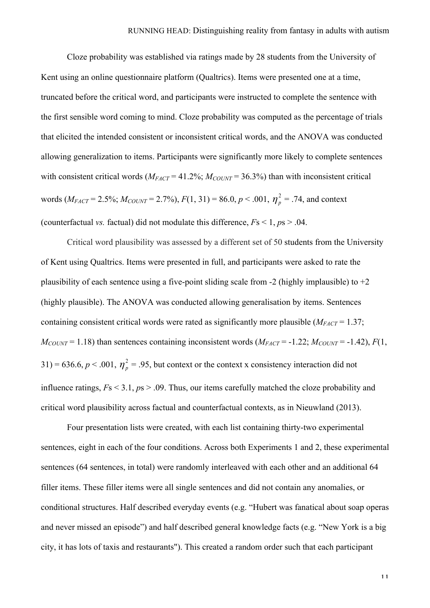Cloze probability was established via ratings made by 28 students from the University of Kent using an online questionnaire platform (Qualtrics). Items were presented one at a time, truncated before the critical word, and participants were instructed to complete the sentence with the first sensible word coming to mind. Cloze probability was computed as the percentage of trials that elicited the intended consistent or inconsistent critical words, and the ANOVA was conducted allowing generalization to items. Participants were significantly more likely to complete sentences with consistent critical words ( $M_{FACT}$  = 41.2%;  $M_{COUNT}$  = 36.3%) than with inconsistent critical words ( $M_{FACT}$  = 2.5%;  $M_{COUNT}$  = 2.7%),  $F(1, 31)$  = 86.0,  $p < .001$ ,  $\eta_p^2$  = .74, and context (counterfactual *vs.* factual) did not modulate this difference,  $Fs < 1, ps > .04$ .

Critical word plausibility was assessed by a different set of 50 students from the University of Kent using Qualtrics. Items were presented in full, and participants were asked to rate the plausibility of each sentence using a five-point sliding scale from -2 (highly implausible) to  $+2$ (highly plausible). The ANOVA was conducted allowing generalisation by items. Sentences containing consistent critical words were rated as significantly more plausible  $(M_{FACT} = 1.37)$ ;  $M_{COUNT} = 1.18$ ) than sentences containing inconsistent words ( $M_{FACT} = -1.22$ ;  $M_{COUNT} = -1.42$ ),  $F(1, 1)$ 31) = 636.6,  $p < .001$ ,  $\eta_p^2 = .95$ , but context or the context x consistency interaction did not influence ratings, *F*s < 3.1, *p*s > .09. Thus, our items carefully matched the cloze probability and critical word plausibility across factual and counterfactual contexts, as in Nieuwland (2013).

Four presentation lists were created, with each list containing thirty-two experimental sentences, eight in each of the four conditions. Across both Experiments 1 and 2, these experimental sentences (64 sentences, in total) were randomly interleaved with each other and an additional 64 filler items. These filler items were all single sentences and did not contain any anomalies, or conditional structures. Half described everyday events (e.g. "Hubert was fanatical about soap operas and never missed an episode") and half described general knowledge facts (e.g. "New York is a big city, it has lots of taxis and restaurants"). This created a random order such that each participant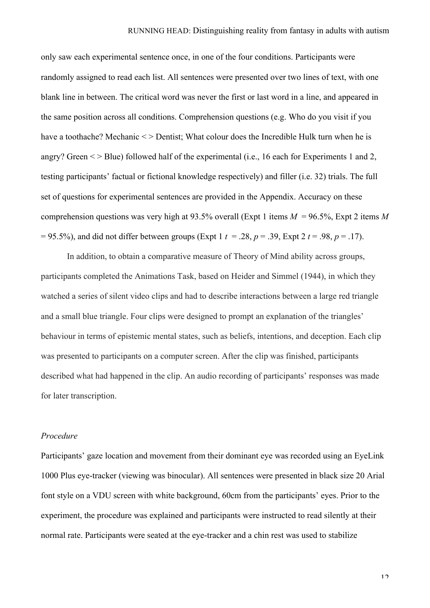only saw each experimental sentence once, in one of the four conditions. Participants were randomly assigned to read each list. All sentences were presented over two lines of text, with one blank line in between. The critical word was never the first or last word in a line, and appeared in the same position across all conditions. Comprehension questions (e.g. Who do you visit if you have a toothache? Mechanic <> Dentist; What colour does the Incredible Hulk turn when he is angry? Green  $\leq$  > Blue) followed half of the experimental (i.e., 16 each for Experiments 1 and 2, testing participants' factual or fictional knowledge respectively) and filler (i.e. 32) trials. The full set of questions for experimental sentences are provided in the Appendix. Accuracy on these comprehension questions was very high at 93.5% overall (Expt 1 items *M* = 96.5%, Expt 2 items *M*  $= 95.5\%$ ), and did not differ between groups (Expt 1 *t* = .28, *p* = .39, Expt 2 *t* = .98, *p* = .17).

In addition, to obtain a comparative measure of Theory of Mind ability across groups, participants completed the Animations Task, based on Heider and Simmel (1944), in which they watched a series of silent video clips and had to describe interactions between a large red triangle and a small blue triangle. Four clips were designed to prompt an explanation of the triangles' behaviour in terms of epistemic mental states, such as beliefs, intentions, and deception. Each clip was presented to participants on a computer screen. After the clip was finished, participants described what had happened in the clip. An audio recording of participants' responses was made for later transcription.

#### *Procedure*

Participants' gaze location and movement from their dominant eye was recorded using an EyeLink 1000 Plus eye-tracker (viewing was binocular). All sentences were presented in black size 20 Arial font style on a VDU screen with white background, 60cm from the participants' eyes. Prior to the experiment, the procedure was explained and participants were instructed to read silently at their normal rate. Participants were seated at the eye-tracker and a chin rest was used to stabilize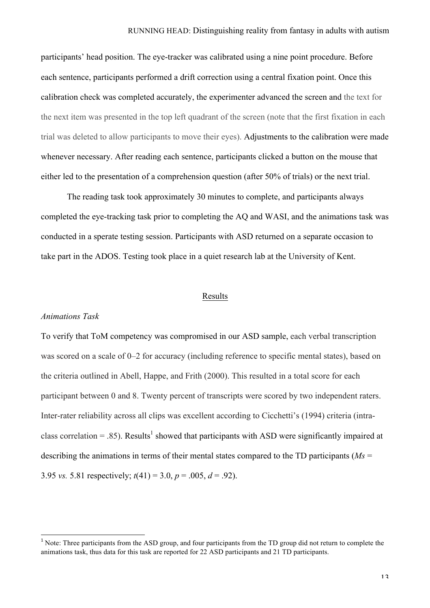participants' head position. The eye-tracker was calibrated using a nine point procedure. Before each sentence, participants performed a drift correction using a central fixation point. Once this calibration check was completed accurately, the experimenter advanced the screen and the text for the next item was presented in the top left quadrant of the screen (note that the first fixation in each trial was deleted to allow participants to move their eyes). Adjustments to the calibration were made whenever necessary. After reading each sentence, participants clicked a button on the mouse that either led to the presentation of a comprehension question (after 50% of trials) or the next trial.

The reading task took approximately 30 minutes to complete, and participants always completed the eye-tracking task prior to completing the AQ and WASI, and the animations task was conducted in a sperate testing session. Participants with ASD returned on a separate occasion to take part in the ADOS. Testing took place in a quiet research lab at the University of Kent.

#### Results

#### *Animations Task*

 $\overline{a}$ 

To verify that ToM competency was compromised in our ASD sample, each verbal transcription was scored on a scale of 0–2 for accuracy (including reference to specific mental states), based on the criteria outlined in Abell, Happe, and Frith (2000). This resulted in a total score for each participant between 0 and 8. Twenty percent of transcripts were scored by two independent raters. Inter-rater reliability across all clips was excellent according to Cicchetti's (1994) criteria (intraclass correlation = .85). Results<sup>1</sup> showed that participants with ASD were significantly impaired at describing the animations in terms of their mental states compared to the TD participants (*Ms* = 3.95 *vs.* 5.81 respectively;  $t(41) = 3.0$ ,  $p = .005$ ,  $d = .92$ ).

<sup>&</sup>lt;sup>1</sup> Note: Three participants from the ASD group, and four participants from the TD group did not return to complete the animations task, thus data for this task are reported for 22 ASD participants and 21 TD participants.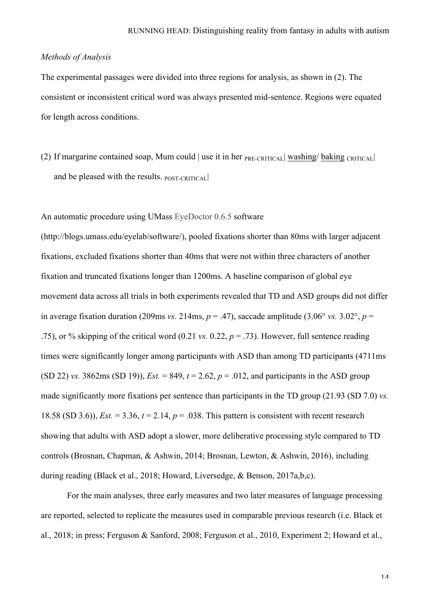#### *Methods of Analysis*

The experimental passages were divided into three regions for analysis, as shown in (2). The consistent or inconsistent critical word was always presented mid-sentence. Regions were equated for length across conditions.

(2) If margarine contained soap, Mum could | use it in her PRE-CRITICAL| washing/ baking CRITICAL| and be pleased with the results. POST-CRITICAL

An automatic procedure using UMass EyeDoctor 0.6.5 software

(http://blogs.umass.edu/eyelab/software/), pooled fixations shorter than 80ms with larger adjacent fixations, excluded fixations shorter than 40ms that were not within three characters of another fixation and truncated fixations longer than 1200ms. A baseline comparison of global eye movement data across all trials in both experiments revealed that TD and ASD groups did not differ in average fixation duration (209ms *vs.* 214ms,  $p = .47$ ), saccade amplitude (3.06° *vs.* 3.02°,  $p =$ .75), or % skipping of the critical word (0.21 *vs.* 0.22, *p* = .73). However, full sentence reading times were significantly longer among participants with ASD than among TD participants (4711ms (SD 22) *vs.* 3862ms (SD 19)), *Est.* = 849,  $t = 2.62$ ,  $p = .012$ , and participants in the ASD group made significantly more fixations per sentence than participants in the TD group (21.93 (SD 7.0) *vs.* 18.58 (SD 3.6)), *Est.* = 3.36,  $t = 2.14$ ,  $p = .038$ . This pattern is consistent with recent research showing that adults with ASD adopt a slower, more deliberative processing style compared to TD controls (Brosnan, Chapman, & Ashwin, 2014; Brosnan, Lewton, & Ashwin, 2016), including during reading (Black et al., 2018; Howard, Liversedge, & Benson, 2017a,b,c).

For the main analyses, three early measures and two later measures of language processing are reported, selected to replicate the measures used in comparable previous research (i.e. Black et al., 2018; in press; Ferguson & Sanford, 2008; Ferguson et al., 2010, Experiment 2; Howard et al.,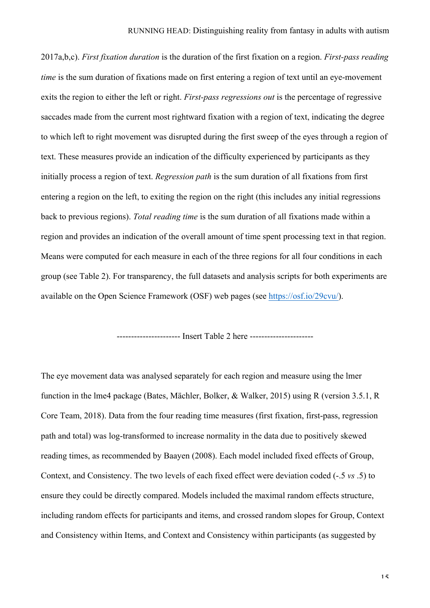2017a,b,c). *First fixation duration* is the duration of the first fixation on a region. *First-pass reading time* is the sum duration of fixations made on first entering a region of text until an eve-movement exits the region to either the left or right. *First-pass regressions out* is the percentage of regressive saccades made from the current most rightward fixation with a region of text, indicating the degree to which left to right movement was disrupted during the first sweep of the eyes through a region of text. These measures provide an indication of the difficulty experienced by participants as they initially process a region of text. *Regression path* is the sum duration of all fixations from first entering a region on the left, to exiting the region on the right (this includes any initial regressions back to previous regions). *Total reading time* is the sum duration of all fixations made within a region and provides an indication of the overall amount of time spent processing text in that region. Means were computed for each measure in each of the three regions for all four conditions in each group (see Table 2). For transparency, the full datasets and analysis scripts for both experiments are available on the Open Science Framework (OSF) web pages (see https://osf.io/29cvu/).

---------------------- Insert Table 2 here ----------------------

The eye movement data was analysed separately for each region and measure using the lmer function in the lme4 package (Bates, Mächler, Bolker, & Walker, 2015) using R (version 3.5.1, R Core Team, 2018). Data from the four reading time measures (first fixation, first-pass, regression path and total) was log-transformed to increase normality in the data due to positively skewed reading times, as recommended by Baayen (2008). Each model included fixed effects of Group, Context, and Consistency. The two levels of each fixed effect were deviation coded (-.5 *vs* .5) to ensure they could be directly compared. Models included the maximal random effects structure, including random effects for participants and items, and crossed random slopes for Group, Context and Consistency within Items, and Context and Consistency within participants (as suggested by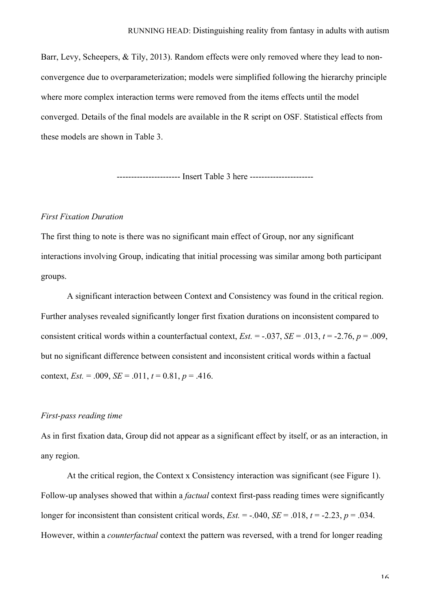Barr, Levy, Scheepers, & Tily, 2013). Random effects were only removed where they lead to nonconvergence due to overparameterization; models were simplified following the hierarchy principle where more complex interaction terms were removed from the items effects until the model converged. Details of the final models are available in the R script on OSF. Statistical effects from these models are shown in Table 3.

---------------------- Insert Table 3 here ----------------------

#### *First Fixation Duration*

The first thing to note is there was no significant main effect of Group, nor any significant interactions involving Group, indicating that initial processing was similar among both participant groups.

A significant interaction between Context and Consistency was found in the critical region. Further analyses revealed significantly longer first fixation durations on inconsistent compared to consistent critical words within a counterfactual context,  $Est. = -0.037$ ,  $SE = 0.013$ ,  $t = -2.76$ ,  $p = 0.009$ , but no significant difference between consistent and inconsistent critical words within a factual context,  $Est. = .009$ ,  $SE = .011$ ,  $t = 0.81$ ,  $p = .416$ .

#### *First-pass reading time*

As in first fixation data, Group did not appear as a significant effect by itself, or as an interaction, in any region.

At the critical region, the Context x Consistency interaction was significant (see Figure 1). Follow-up analyses showed that within a *factual* context first-pass reading times were significantly longer for inconsistent than consistent critical words,  $Est. = -0.040$ ,  $SE = 0.018$ ,  $t = -2.23$ ,  $p = 0.034$ . However, within a *counterfactual* context the pattern was reversed, with a trend for longer reading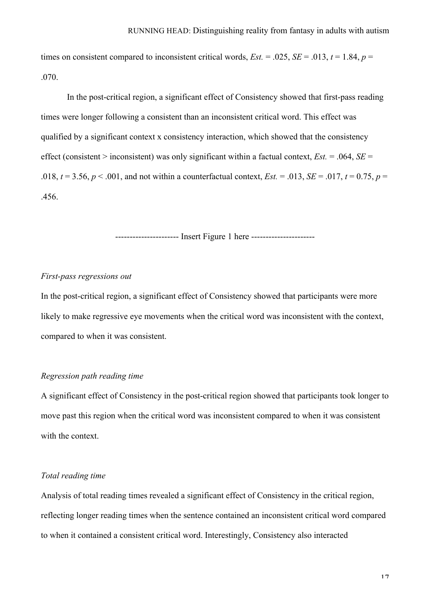times on consistent compared to inconsistent critical words,  $Est. = .025$ ,  $SE = .013$ ,  $t = 1.84$ ,  $p =$ .070.

In the post-critical region, a significant effect of Consistency showed that first-pass reading times were longer following a consistent than an inconsistent critical word. This effect was qualified by a significant context x consistency interaction, which showed that the consistency effect (consistent > inconsistent) was only significant within a factual context, *Est.* = .064, *SE* = .018,  $t = 3.56$ ,  $p < .001$ , and not within a counterfactual context, *Est.* = .013, *SE* = .017,  $t = 0.75$ ,  $p =$ .456.

---------------------- Insert Figure 1 here ----------------------

#### *First-pass regressions out*

In the post-critical region, a significant effect of Consistency showed that participants were more likely to make regressive eye movements when the critical word was inconsistent with the context, compared to when it was consistent.

#### *Regression path reading time*

A significant effect of Consistency in the post-critical region showed that participants took longer to move past this region when the critical word was inconsistent compared to when it was consistent with the context.

#### *Total reading time*

Analysis of total reading times revealed a significant effect of Consistency in the critical region, reflecting longer reading times when the sentence contained an inconsistent critical word compared to when it contained a consistent critical word. Interestingly, Consistency also interacted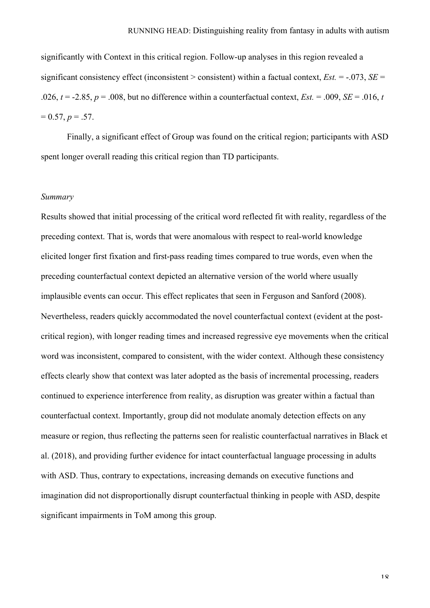significantly with Context in this critical region. Follow-up analyses in this region revealed a significant consistency effect (inconsistent > consistent) within a factual context,  $Est = -0.073$ ,  $SE =$ .026,  $t = -2.85$ ,  $p = .008$ , but no difference within a counterfactual context, *Est.* = .009, *SE* = .016, *t*  $= 0.57, p = .57.$ 

Finally, a significant effect of Group was found on the critical region; participants with ASD spent longer overall reading this critical region than TD participants.

#### *Summary*

Results showed that initial processing of the critical word reflected fit with reality, regardless of the preceding context. That is, words that were anomalous with respect to real-world knowledge elicited longer first fixation and first-pass reading times compared to true words, even when the preceding counterfactual context depicted an alternative version of the world where usually implausible events can occur. This effect replicates that seen in Ferguson and Sanford (2008). Nevertheless, readers quickly accommodated the novel counterfactual context (evident at the postcritical region), with longer reading times and increased regressive eye movements when the critical word was inconsistent, compared to consistent, with the wider context. Although these consistency effects clearly show that context was later adopted as the basis of incremental processing, readers continued to experience interference from reality, as disruption was greater within a factual than counterfactual context. Importantly, group did not modulate anomaly detection effects on any measure or region, thus reflecting the patterns seen for realistic counterfactual narratives in Black et al. (2018), and providing further evidence for intact counterfactual language processing in adults with ASD. Thus, contrary to expectations, increasing demands on executive functions and imagination did not disproportionally disrupt counterfactual thinking in people with ASD, despite significant impairments in ToM among this group.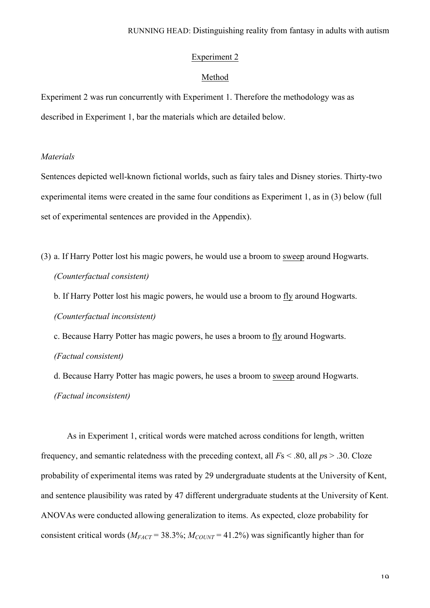#### Experiment 2

#### Method

Experiment 2 was run concurrently with Experiment 1. Therefore the methodology was as described in Experiment 1, bar the materials which are detailed below.

#### *Materials*

Sentences depicted well-known fictional worlds, such as fairy tales and Disney stories. Thirty-two experimental items were created in the same four conditions as Experiment 1, as in (3) below (full set of experimental sentences are provided in the Appendix).

- (3) a. If Harry Potter lost his magic powers, he would use a broom to sweep around Hogwarts. *(Counterfactual consistent)*
	- b. If Harry Potter lost his magic powers, he would use a broom to fly around Hogwarts.

*(Counterfactual inconsistent)*

c. Because Harry Potter has magic powers, he uses a broom to fly around Hogwarts.

```
(Factual consistent)
```
d. Because Harry Potter has magic powers, he uses a broom to sweep around Hogwarts. *(Factual inconsistent)* 

As in Experiment 1, critical words were matched across conditions for length, written frequency, and semantic relatedness with the preceding context, all *F*s < .80, all *p*s > .30. Cloze probability of experimental items was rated by 29 undergraduate students at the University of Kent, and sentence plausibility was rated by 47 different undergraduate students at the University of Kent. ANOVAs were conducted allowing generalization to items. As expected, cloze probability for consistent critical words ( $M_{FACT}$  = 38.3%;  $M_{COUNT}$  = 41.2%) was significantly higher than for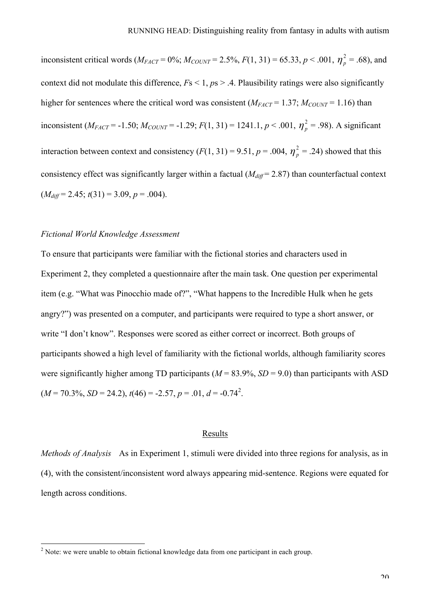inconsistent critical words ( $M_{FACT}$  = 0%;  $M_{COUNT}$  = 2.5%,  $F(1, 31)$  = 65.33,  $p < .001$ ,  $\eta_p^2$  = .68), and context did not modulate this difference,  $Fs < 1$ ,  $ps > .4$ . Plausibility ratings were also significantly higher for sentences where the critical word was consistent  $(M_{FACT} = 1.37; M_{COUNT} = 1.16)$  than inconsistent ( $M_{FACT}$  = -1.50;  $M_{COUNT}$  = -1.29;  $F(1, 31)$  = 1241.1,  $p < .001$ ,  $\eta_p^2$  = .98). A significant interaction between context and consistency  $(F(1, 31) = 9.51, p = .004, \eta_p^2 = .24)$  showed that this consistency effect was significantly larger within a factual  $(M_{diff} = 2.87)$  than counterfactual context  $(M_{diff} = 2.45; t(31) = 3.09, p = .004).$ 

#### *Fictional World Knowledge Assessment*

 $\overline{a}$ 

To ensure that participants were familiar with the fictional stories and characters used in Experiment 2, they completed a questionnaire after the main task. One question per experimental item (e.g. "What was Pinocchio made of?", "What happens to the Incredible Hulk when he gets angry?") was presented on a computer, and participants were required to type a short answer, or write "I don't know". Responses were scored as either correct or incorrect. Both groups of participants showed a high level of familiarity with the fictional worlds, although familiarity scores were significantly higher among TD participants ( $M = 83.9\%$ ,  $SD = 9.0$ ) than participants with ASD  $(M = 70.3\%, SD = 24.2), t(46) = -2.57, p = .01, d = -0.74^2.$ 

#### Results

*Methods of Analysis* As in Experiment 1, stimuli were divided into three regions for analysis, as in (4), with the consistent/inconsistent word always appearing mid-sentence. Regions were equated for length across conditions.

 $2$  Note: we were unable to obtain fictional knowledge data from one participant in each group.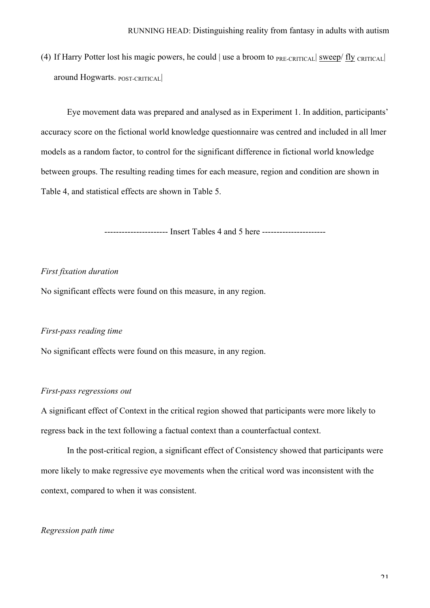(4) If Harry Potter lost his magic powers, he could | use a broom to  $PRE-CRITICAL$ |  $sweep/fly CRITICAL$ | around Hogwarts. POST-CRITICAL

Eye movement data was prepared and analysed as in Experiment 1. In addition, participants' accuracy score on the fictional world knowledge questionnaire was centred and included in all lmer models as a random factor, to control for the significant difference in fictional world knowledge between groups. The resulting reading times for each measure, region and condition are shown in Table 4, and statistical effects are shown in Table 5.

---------------------- Insert Tables 4 and 5 here ----------------------

#### *First fixation duration*

No significant effects were found on this measure, in any region.

#### *First-pass reading time*

No significant effects were found on this measure, in any region.

#### *First-pass regressions out*

A significant effect of Context in the critical region showed that participants were more likely to regress back in the text following a factual context than a counterfactual context.

 In the post-critical region, a significant effect of Consistency showed that participants were more likely to make regressive eye movements when the critical word was inconsistent with the context, compared to when it was consistent.

#### *Regression path time*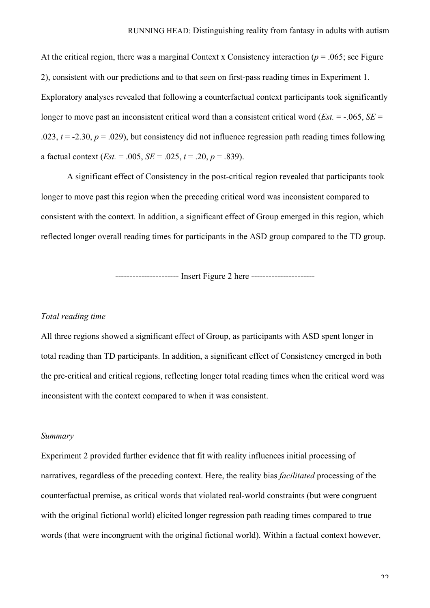At the critical region, there was a marginal Context x Consistency interaction ( $p = .065$ ; see Figure 2), consistent with our predictions and to that seen on first-pass reading times in Experiment 1. Exploratory analyses revealed that following a counterfactual context participants took significantly longer to move past an inconsistent critical word than a consistent critical word (*Est.* = -.065, *SE* = .023,  $t = -2.30$ ,  $p = .029$ ), but consistency did not influence regression path reading times following a factual context (*Est.* = .005, *SE* = .025,  $t = .20$ ,  $p = .839$ ).

A significant effect of Consistency in the post-critical region revealed that participants took longer to move past this region when the preceding critical word was inconsistent compared to consistent with the context. In addition, a significant effect of Group emerged in this region, which reflected longer overall reading times for participants in the ASD group compared to the TD group.

---------------------- Insert Figure 2 here ----------------------

#### *Total reading time*

All three regions showed a significant effect of Group, as participants with ASD spent longer in total reading than TD participants. In addition, a significant effect of Consistency emerged in both the pre-critical and critical regions, reflecting longer total reading times when the critical word was inconsistent with the context compared to when it was consistent.

#### *Summary*

Experiment 2 provided further evidence that fit with reality influences initial processing of narratives, regardless of the preceding context. Here, the reality bias *facilitated* processing of the counterfactual premise, as critical words that violated real-world constraints (but were congruent with the original fictional world) elicited longer regression path reading times compared to true words (that were incongruent with the original fictional world). Within a factual context however,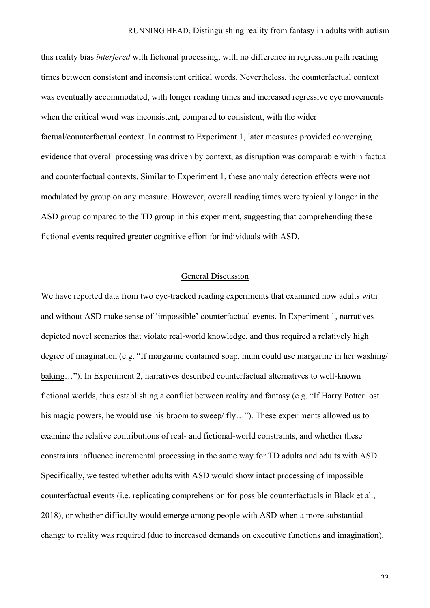this reality bias *interfered* with fictional processing, with no difference in regression path reading times between consistent and inconsistent critical words. Nevertheless, the counterfactual context was eventually accommodated, with longer reading times and increased regressive eye movements when the critical word was inconsistent, compared to consistent, with the wider factual/counterfactual context. In contrast to Experiment 1, later measures provided converging evidence that overall processing was driven by context, as disruption was comparable within factual and counterfactual contexts. Similar to Experiment 1, these anomaly detection effects were not modulated by group on any measure. However, overall reading times were typically longer in the ASD group compared to the TD group in this experiment, suggesting that comprehending these fictional events required greater cognitive effort for individuals with ASD.

#### General Discussion

We have reported data from two eye-tracked reading experiments that examined how adults with and without ASD make sense of 'impossible' counterfactual events. In Experiment 1, narratives depicted novel scenarios that violate real-world knowledge, and thus required a relatively high degree of imagination (e.g. "If margarine contained soap, mum could use margarine in her washing/ baking…"). In Experiment 2, narratives described counterfactual alternatives to well-known fictional worlds, thus establishing a conflict between reality and fantasy (e.g. "If Harry Potter lost his magic powers, he would use his broom to sweep/ fly..."). These experiments allowed us to examine the relative contributions of real- and fictional-world constraints, and whether these constraints influence incremental processing in the same way for TD adults and adults with ASD. Specifically, we tested whether adults with ASD would show intact processing of impossible counterfactual events (i.e. replicating comprehension for possible counterfactuals in Black et al., 2018), or whether difficulty would emerge among people with ASD when a more substantial change to reality was required (due to increased demands on executive functions and imagination).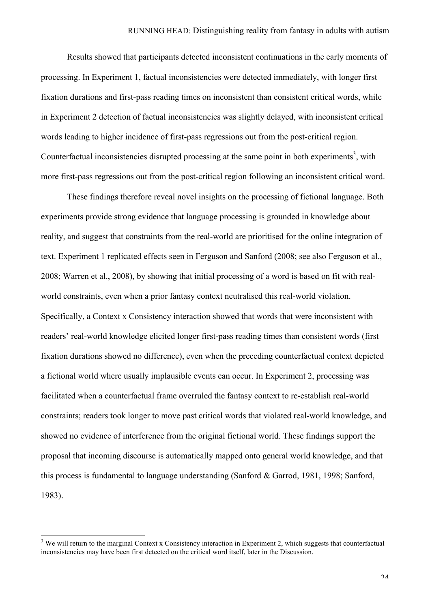Results showed that participants detected inconsistent continuations in the early moments of processing. In Experiment 1, factual inconsistencies were detected immediately, with longer first fixation durations and first-pass reading times on inconsistent than consistent critical words, while in Experiment 2 detection of factual inconsistencies was slightly delayed, with inconsistent critical words leading to higher incidence of first-pass regressions out from the post-critical region. Counterfactual inconsistencies disrupted processing at the same point in both experiments<sup>3</sup>, with more first-pass regressions out from the post-critical region following an inconsistent critical word.

These findings therefore reveal novel insights on the processing of fictional language. Both experiments provide strong evidence that language processing is grounded in knowledge about reality, and suggest that constraints from the real-world are prioritised for the online integration of text. Experiment 1 replicated effects seen in Ferguson and Sanford (2008; see also Ferguson et al., 2008; Warren et al., 2008), by showing that initial processing of a word is based on fit with realworld constraints, even when a prior fantasy context neutralised this real-world violation. Specifically, a Context x Consistency interaction showed that words that were inconsistent with readers' real-world knowledge elicited longer first-pass reading times than consistent words (first fixation durations showed no difference), even when the preceding counterfactual context depicted a fictional world where usually implausible events can occur. In Experiment 2, processing was facilitated when a counterfactual frame overruled the fantasy context to re-establish real-world constraints; readers took longer to move past critical words that violated real-world knowledge, and showed no evidence of interference from the original fictional world. These findings support the proposal that incoming discourse is automatically mapped onto general world knowledge, and that this process is fundamental to language understanding (Sanford & Garrod, 1981, 1998; Sanford, 1983).

 $\overline{a}$ 

 $3$  We will return to the marginal Context x Consistency interaction in Experiment 2, which suggests that counterfactual inconsistencies may have been first detected on the critical word itself, later in the Discussion.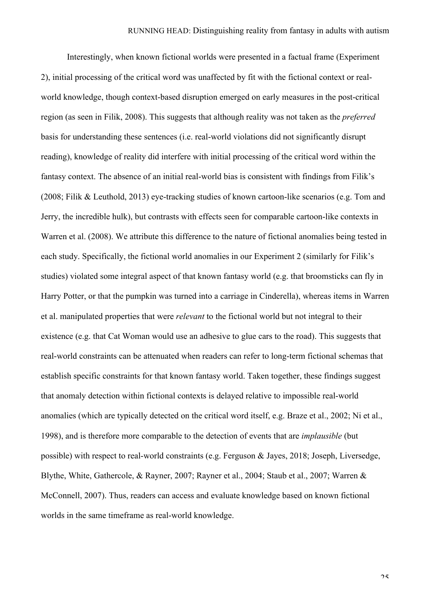Interestingly, when known fictional worlds were presented in a factual frame (Experiment 2), initial processing of the critical word was unaffected by fit with the fictional context or realworld knowledge, though context-based disruption emerged on early measures in the post-critical region (as seen in Filik, 2008). This suggests that although reality was not taken as the *preferred* basis for understanding these sentences (i.e. real-world violations did not significantly disrupt reading), knowledge of reality did interfere with initial processing of the critical word within the fantasy context. The absence of an initial real-world bias is consistent with findings from Filik's (2008; Filik & Leuthold, 2013) eye-tracking studies of known cartoon-like scenarios (e.g. Tom and Jerry, the incredible hulk), but contrasts with effects seen for comparable cartoon-like contexts in Warren et al. (2008). We attribute this difference to the nature of fictional anomalies being tested in each study. Specifically, the fictional world anomalies in our Experiment 2 (similarly for Filik's studies) violated some integral aspect of that known fantasy world (e.g. that broomsticks can fly in Harry Potter, or that the pumpkin was turned into a carriage in Cinderella), whereas items in Warren et al. manipulated properties that were *relevant* to the fictional world but not integral to their existence (e.g. that Cat Woman would use an adhesive to glue cars to the road). This suggests that real-world constraints can be attenuated when readers can refer to long-term fictional schemas that establish specific constraints for that known fantasy world. Taken together, these findings suggest that anomaly detection within fictional contexts is delayed relative to impossible real-world anomalies (which are typically detected on the critical word itself, e.g. Braze et al., 2002; Ni et al., 1998), and is therefore more comparable to the detection of events that are *implausible* (but possible) with respect to real-world constraints (e.g. Ferguson & Jayes, 2018; Joseph, Liversedge, Blythe, White, Gathercole, & Rayner, 2007; Rayner et al., 2004; Staub et al., 2007; Warren & McConnell, 2007). Thus, readers can access and evaluate knowledge based on known fictional worlds in the same timeframe as real-world knowledge.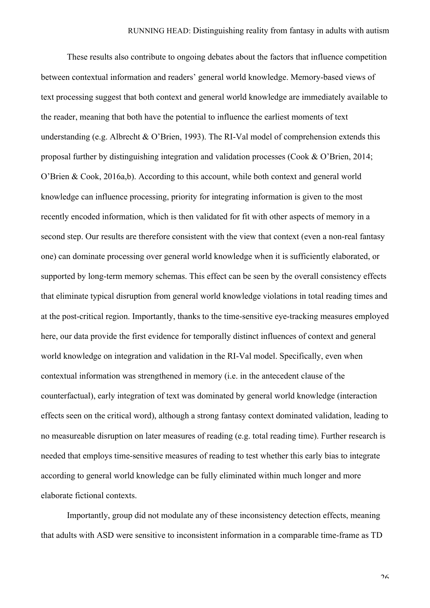These results also contribute to ongoing debates about the factors that influence competition between contextual information and readers' general world knowledge. Memory-based views of text processing suggest that both context and general world knowledge are immediately available to the reader, meaning that both have the potential to influence the earliest moments of text understanding (e.g. Albrecht & O'Brien, 1993). The RI-Val model of comprehension extends this proposal further by distinguishing integration and validation processes (Cook & O'Brien, 2014; O'Brien & Cook, 2016a,b). According to this account, while both context and general world knowledge can influence processing, priority for integrating information is given to the most recently encoded information, which is then validated for fit with other aspects of memory in a second step. Our results are therefore consistent with the view that context (even a non-real fantasy one) can dominate processing over general world knowledge when it is sufficiently elaborated, or supported by long-term memory schemas. This effect can be seen by the overall consistency effects that eliminate typical disruption from general world knowledge violations in total reading times and at the post-critical region. Importantly, thanks to the time-sensitive eye-tracking measures employed here, our data provide the first evidence for temporally distinct influences of context and general world knowledge on integration and validation in the RI-Val model. Specifically, even when contextual information was strengthened in memory (i.e. in the antecedent clause of the counterfactual), early integration of text was dominated by general world knowledge (interaction effects seen on the critical word), although a strong fantasy context dominated validation, leading to no measureable disruption on later measures of reading (e.g. total reading time). Further research is needed that employs time-sensitive measures of reading to test whether this early bias to integrate according to general world knowledge can be fully eliminated within much longer and more elaborate fictional contexts.

Importantly, group did not modulate any of these inconsistency detection effects, meaning that adults with ASD were sensitive to inconsistent information in a comparable time-frame as TD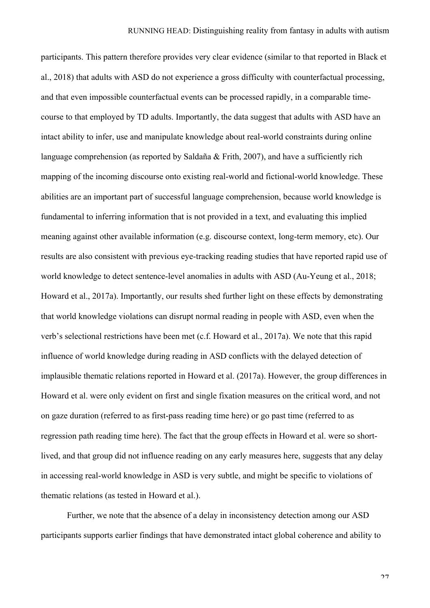participants. This pattern therefore provides very clear evidence (similar to that reported in Black et al., 2018) that adults with ASD do not experience a gross difficulty with counterfactual processing, and that even impossible counterfactual events can be processed rapidly, in a comparable timecourse to that employed by TD adults. Importantly, the data suggest that adults with ASD have an intact ability to infer, use and manipulate knowledge about real-world constraints during online language comprehension (as reported by Saldaña & Frith, 2007), and have a sufficiently rich mapping of the incoming discourse onto existing real-world and fictional-world knowledge. These abilities are an important part of successful language comprehension, because world knowledge is fundamental to inferring information that is not provided in a text, and evaluating this implied meaning against other available information (e.g. discourse context, long-term memory, etc). Our results are also consistent with previous eye-tracking reading studies that have reported rapid use of world knowledge to detect sentence-level anomalies in adults with ASD (Au-Yeung et al., 2018; Howard et al., 2017a). Importantly, our results shed further light on these effects by demonstrating that world knowledge violations can disrupt normal reading in people with ASD, even when the verb's selectional restrictions have been met (c.f. Howard et al., 2017a). We note that this rapid influence of world knowledge during reading in ASD conflicts with the delayed detection of implausible thematic relations reported in Howard et al. (2017a). However, the group differences in Howard et al. were only evident on first and single fixation measures on the critical word, and not on gaze duration (referred to as first-pass reading time here) or go past time (referred to as regression path reading time here). The fact that the group effects in Howard et al. were so shortlived, and that group did not influence reading on any early measures here, suggests that any delay in accessing real-world knowledge in ASD is very subtle, and might be specific to violations of thematic relations (as tested in Howard et al.).

Further, we note that the absence of a delay in inconsistency detection among our ASD participants supports earlier findings that have demonstrated intact global coherence and ability to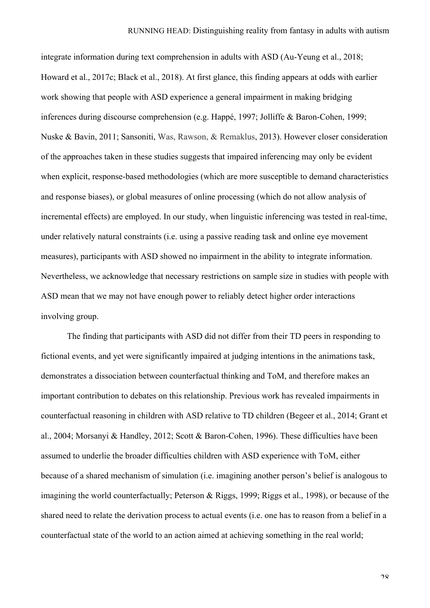integrate information during text comprehension in adults with ASD (Au-Yeung et al., 2018; Howard et al., 2017c; Black et al., 2018). At first glance, this finding appears at odds with earlier work showing that people with ASD experience a general impairment in making bridging inferences during discourse comprehension (e.g. Happé, 1997; Jolliffe & Baron-Cohen, 1999; Nuske & Bavin, 2011; Sansoniti, Was, Rawson, & Remaklus, 2013). However closer consideration of the approaches taken in these studies suggests that impaired inferencing may only be evident when explicit, response-based methodologies (which are more susceptible to demand characteristics and response biases), or global measures of online processing (which do not allow analysis of incremental effects) are employed. In our study, when linguistic inferencing was tested in real-time, under relatively natural constraints (i.e. using a passive reading task and online eye movement measures), participants with ASD showed no impairment in the ability to integrate information. Nevertheless, we acknowledge that necessary restrictions on sample size in studies with people with ASD mean that we may not have enough power to reliably detect higher order interactions involving group.

The finding that participants with ASD did not differ from their TD peers in responding to fictional events, and yet were significantly impaired at judging intentions in the animations task, demonstrates a dissociation between counterfactual thinking and ToM, and therefore makes an important contribution to debates on this relationship. Previous work has revealed impairments in counterfactual reasoning in children with ASD relative to TD children (Begeer et al., 2014; Grant et al., 2004; Morsanyi & Handley, 2012; Scott & Baron-Cohen, 1996). These difficulties have been assumed to underlie the broader difficulties children with ASD experience with ToM, either because of a shared mechanism of simulation (i.e. imagining another person's belief is analogous to imagining the world counterfactually; Peterson & Riggs, 1999; Riggs et al., 1998), or because of the shared need to relate the derivation process to actual events (i.e. one has to reason from a belief in a counterfactual state of the world to an action aimed at achieving something in the real world;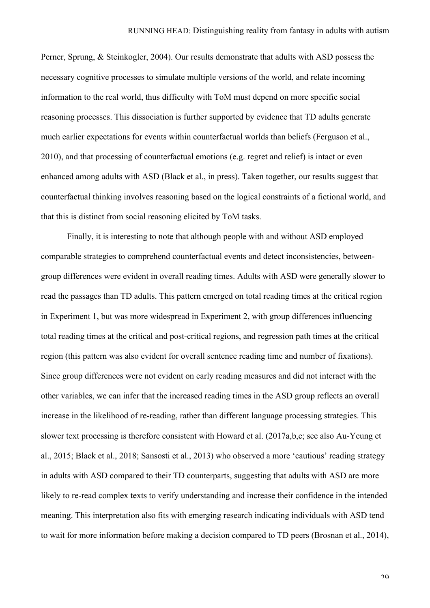Perner, Sprung, & Steinkogler, 2004). Our results demonstrate that adults with ASD possess the necessary cognitive processes to simulate multiple versions of the world, and relate incoming information to the real world, thus difficulty with ToM must depend on more specific social reasoning processes. This dissociation is further supported by evidence that TD adults generate much earlier expectations for events within counterfactual worlds than beliefs (Ferguson et al., 2010), and that processing of counterfactual emotions (e.g. regret and relief) is intact or even enhanced among adults with ASD (Black et al., in press). Taken together, our results suggest that counterfactual thinking involves reasoning based on the logical constraints of a fictional world, and that this is distinct from social reasoning elicited by ToM tasks.

Finally, it is interesting to note that although people with and without ASD employed comparable strategies to comprehend counterfactual events and detect inconsistencies, betweengroup differences were evident in overall reading times. Adults with ASD were generally slower to read the passages than TD adults. This pattern emerged on total reading times at the critical region in Experiment 1, but was more widespread in Experiment 2, with group differences influencing total reading times at the critical and post-critical regions, and regression path times at the critical region (this pattern was also evident for overall sentence reading time and number of fixations). Since group differences were not evident on early reading measures and did not interact with the other variables, we can infer that the increased reading times in the ASD group reflects an overall increase in the likelihood of re-reading, rather than different language processing strategies. This slower text processing is therefore consistent with Howard et al. (2017a,b,c; see also Au-Yeung et al., 2015; Black et al., 2018; Sansosti et al., 2013) who observed a more 'cautious' reading strategy in adults with ASD compared to their TD counterparts, suggesting that adults with ASD are more likely to re-read complex texts to verify understanding and increase their confidence in the intended meaning. This interpretation also fits with emerging research indicating individuals with ASD tend to wait for more information before making a decision compared to TD peers (Brosnan et al., 2014),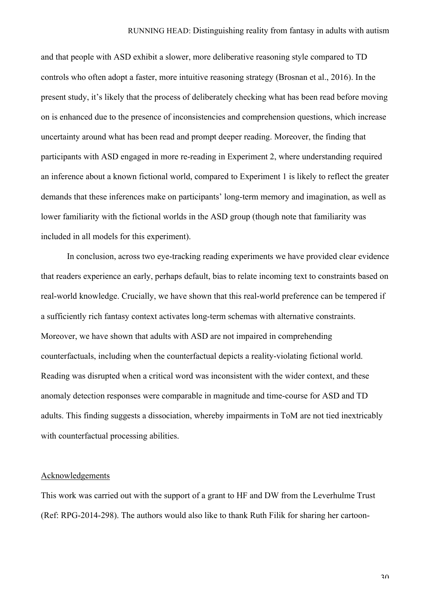and that people with ASD exhibit a slower, more deliberative reasoning style compared to TD controls who often adopt a faster, more intuitive reasoning strategy (Brosnan et al., 2016). In the present study, it's likely that the process of deliberately checking what has been read before moving on is enhanced due to the presence of inconsistencies and comprehension questions, which increase uncertainty around what has been read and prompt deeper reading. Moreover, the finding that participants with ASD engaged in more re-reading in Experiment 2, where understanding required an inference about a known fictional world, compared to Experiment 1 is likely to reflect the greater demands that these inferences make on participants' long-term memory and imagination, as well as lower familiarity with the fictional worlds in the ASD group (though note that familiarity was included in all models for this experiment).

In conclusion, across two eye-tracking reading experiments we have provided clear evidence that readers experience an early, perhaps default, bias to relate incoming text to constraints based on real-world knowledge. Crucially, we have shown that this real-world preference can be tempered if a sufficiently rich fantasy context activates long-term schemas with alternative constraints. Moreover, we have shown that adults with ASD are not impaired in comprehending counterfactuals, including when the counterfactual depicts a reality-violating fictional world. Reading was disrupted when a critical word was inconsistent with the wider context, and these anomaly detection responses were comparable in magnitude and time-course for ASD and TD adults. This finding suggests a dissociation, whereby impairments in ToM are not tied inextricably with counterfactual processing abilities.

#### Acknowledgements

This work was carried out with the support of a grant to HF and DW from the Leverhulme Trust (Ref: RPG-2014-298). The authors would also like to thank Ruth Filik for sharing her cartoon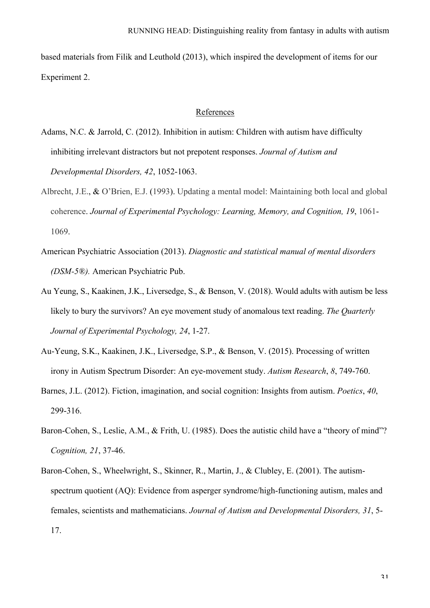based materials from Filik and Leuthold (2013), which inspired the development of items for our Experiment 2.

#### References

- Adams, N.C. & Jarrold, C. (2012). Inhibition in autism: Children with autism have difficulty inhibiting irrelevant distractors but not prepotent responses. *Journal of Autism and Developmental Disorders, 42*, 1052-1063.
- Albrecht, J.E., & O'Brien, E.J. (1993). Updating a mental model: Maintaining both local and global coherence. *Journal of Experimental Psychology: Learning, Memory, and Cognition, 19*, 1061- 1069.
- American Psychiatric Association (2013). *Diagnostic and statistical manual of mental disorders (DSM-5®).* American Psychiatric Pub.
- Au Yeung, S., Kaakinen, J.K., Liversedge, S., & Benson, V. (2018). Would adults with autism be less likely to bury the survivors? An eye movement study of anomalous text reading. *The Quarterly Journal of Experimental Psychology, 24*, 1-27.
- Au-Yeung, S.K., Kaakinen, J.K., Liversedge, S.P., & Benson, V. (2015). Processing of written irony in Autism Spectrum Disorder: An eye-movement study. *Autism Research*, *8*, 749-760.
- Barnes, J.L. (2012). Fiction, imagination, and social cognition: Insights from autism. *Poetics*, *40*, 299-316.
- Baron-Cohen, S., Leslie, A.M., & Frith, U. (1985). Does the autistic child have a "theory of mind"? *Cognition, 21*, 37-46.
- Baron-Cohen, S., Wheelwright, S., Skinner, R., Martin, J., & Clubley, E. (2001). The autismspectrum quotient (AQ): Evidence from asperger syndrome/high-functioning autism, males and females, scientists and mathematicians. *Journal of Autism and Developmental Disorders, 31*, 5- 17.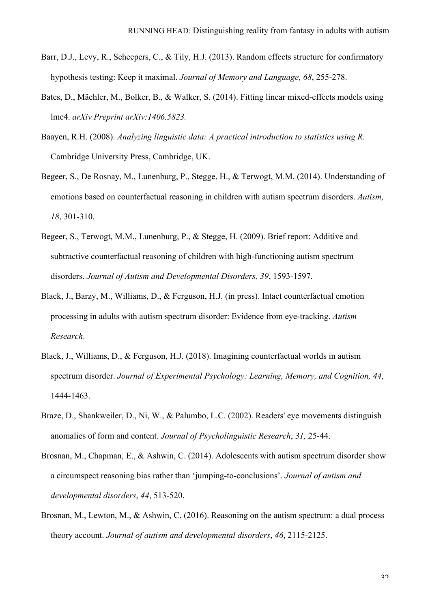- Barr, D.J., Levy, R., Scheepers, C., & Tily, H.J. (2013). Random effects structure for confirmatory hypothesis testing: Keep it maximal. *Journal of Memory and Language, 68*, 255-278.
- Bates, D., Mächler, M., Bolker, B., & Walker, S. (2014). Fitting linear mixed-effects models using lme4. *arXiv Preprint arXiv:1406.5823.*
- Baayen, R.H. (2008). *Analyzing linguistic data: A practical introduction to statistics using R*. Cambridge University Press, Cambridge, UK.
- Begeer, S., De Rosnay, M., Lunenburg, P., Stegge, H., & Terwogt, M.M. (2014). Understanding of emotions based on counterfactual reasoning in children with autism spectrum disorders. *Autism, 18*, 301-310.
- Begeer, S., Terwogt, M.M., Lunenburg, P., & Stegge, H. (2009). Brief report: Additive and subtractive counterfactual reasoning of children with high-functioning autism spectrum disorders. *Journal of Autism and Developmental Disorders, 39*, 1593-1597.
- Black, J., Barzy, M., Williams, D., & Ferguson, H.J. (in press). Intact counterfactual emotion processing in adults with autism spectrum disorder: Evidence from eye-tracking. *Autism Research*.
- Black, J., Williams, D., & Ferguson, H.J. (2018). Imagining counterfactual worlds in autism spectrum disorder. *Journal of Experimental Psychology: Learning, Memory, and Cognition, 44*, 1444-1463.
- Braze, D., Shankweiler, D., Ni, W., & Palumbo, L.C. (2002). Readers' eye movements distinguish anomalies of form and content. *Journal of Psycholinguistic Research*, *31,* 25-44.
- Brosnan, M., Chapman, E., & Ashwin, C. (2014). Adolescents with autism spectrum disorder show a circumspect reasoning bias rather than 'jumping-to-conclusions'. *Journal of autism and developmental disorders*, *44*, 513-520.
- Brosnan, M., Lewton, M., & Ashwin, C. (2016). Reasoning on the autism spectrum: a dual process theory account. *Journal of autism and developmental disorders*, *46*, 2115-2125.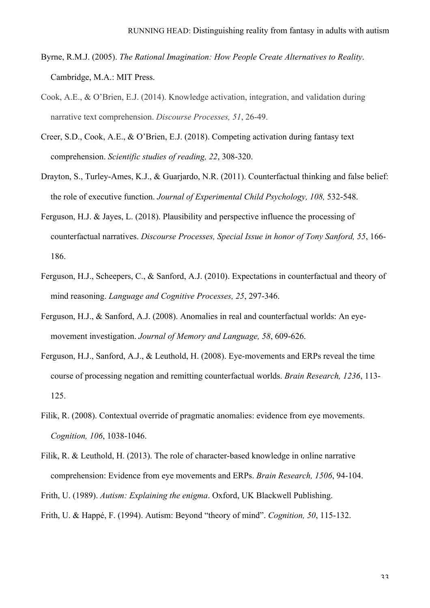- Byrne, R.M.J. (2005). *The Rational Imagination: How People Create Alternatives to Reality*. Cambridge, M.A.: MIT Press.
- Cook, A.E., & O'Brien, E.J. (2014). Knowledge activation, integration, and validation during narrative text comprehension. *Discourse Processes, 51*, 26-49.
- Creer, S.D., Cook, A.E., & O'Brien, E.J. (2018). Competing activation during fantasy text comprehension. *Scientific studies of reading, 22*, 308-320.
- Drayton, S., Turley-Ames, K.J., & Guarjardo, N.R. (2011). Counterfactual thinking and false belief: the role of executive function. *Journal of Experimental Child Psychology, 108,* 532-548.
- Ferguson, H.J. & Jayes, L. (2018). Plausibility and perspective influence the processing of counterfactual narratives. *Discourse Processes, Special Issue in honor of Tony Sanford, 55*, 166- 186.
- Ferguson, H.J., Scheepers, C., & Sanford, A.J. (2010). Expectations in counterfactual and theory of mind reasoning. *Language and Cognitive Processes, 25*, 297-346.
- Ferguson, H.J., & Sanford, A.J. (2008). Anomalies in real and counterfactual worlds: An eyemovement investigation. *Journal of Memory and Language, 58*, 609-626.
- Ferguson, H.J., Sanford, A.J., & Leuthold, H. (2008). Eye-movements and ERPs reveal the time course of processing negation and remitting counterfactual worlds. *Brain Research, 1236*, 113- 125.
- Filik, R. (2008). Contextual override of pragmatic anomalies: evidence from eve movements. *Cognition, 106*, 1038-1046.
- Filik, R. & Leuthold, H. (2013). The role of character-based knowledge in online narrative comprehension: Evidence from eye movements and ERPs. *Brain Research, 1506*, 94-104.
- Frith, U. (1989). *Autism: Explaining the enigma*. Oxford, UK Blackwell Publishing.
- Frith, U. & Happé, F. (1994). Autism: Beyond "theory of mind". *Cognition, 50*, 115-132.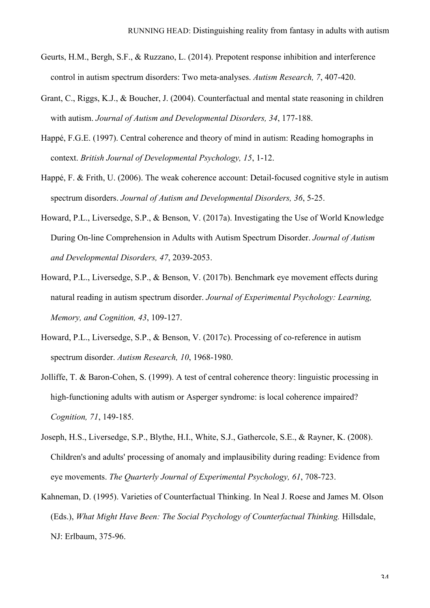- Geurts, H.M., Bergh, S.F., & Ruzzano, L. (2014). Prepotent response inhibition and interference control in autism spectrum disorders: Two meta-analyses. *Autism Research, 7*, 407-420.
- Grant, C., Riggs, K.J., & Boucher, J. (2004). Counterfactual and mental state reasoning in children with autism. *Journal of Autism and Developmental Disorders, 34*, 177-188.
- Happé, F.G.E. (1997). Central coherence and theory of mind in autism: Reading homographs in context. *British Journal of Developmental Psychology, 15*, 1-12.
- Happé, F. & Frith, U. (2006). The weak coherence account: Detail-focused cognitive style in autism spectrum disorders. *Journal of Autism and Developmental Disorders, 36*, 5-25.
- Howard, P.L., Liversedge, S.P., & Benson, V. (2017a). Investigating the Use of World Knowledge During On-line Comprehension in Adults with Autism Spectrum Disorder. *Journal of Autism and Developmental Disorders, 47*, 2039-2053.
- Howard, P.L., Liversedge, S.P., & Benson, V. (2017b). Benchmark eye movement effects during natural reading in autism spectrum disorder. *Journal of Experimental Psychology: Learning, Memory, and Cognition, 43*, 109-127.
- Howard, P.L., Liversedge, S.P., & Benson, V. (2017c). Processing of co-reference in autism spectrum disorder. *Autism Research, 10*, 1968-1980.
- Jolliffe, T. & Baron-Cohen, S. (1999). A test of central coherence theory: linguistic processing in high-functioning adults with autism or Asperger syndrome: is local coherence impaired? *Cognition, 71*, 149-185.
- Joseph, H.S., Liversedge, S.P., Blythe, H.I., White, S.J., Gathercole, S.E., & Rayner, K. (2008). Children's and adults' processing of anomaly and implausibility during reading: Evidence from eye movements. *The Quarterly Journal of Experimental Psychology, 61*, 708-723.
- Kahneman, D. (1995). Varieties of Counterfactual Thinking. In Neal J. Roese and James M. Olson (Eds.), *What Might Have Been: The Social Psychology of Counterfactual Thinking.* Hillsdale, NJ: Erlbaum, 375-96.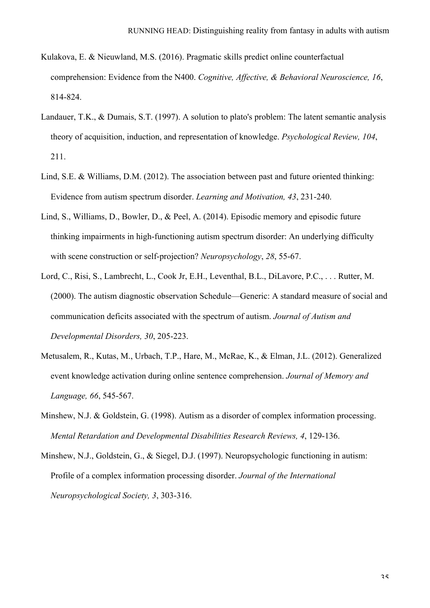- Kulakova, E. & Nieuwland, M.S. (2016). Pragmatic skills predict online counterfactual comprehension: Evidence from the N400. *Cognitive, Affective, & Behavioral Neuroscience, 16*, 814-824.
- Landauer, T.K., & Dumais, S.T. (1997). A solution to plato's problem: The latent semantic analysis theory of acquisition, induction, and representation of knowledge. *Psychological Review, 104*, 211.
- Lind, S.E. & Williams, D.M. (2012). The association between past and future oriented thinking: Evidence from autism spectrum disorder. *Learning and Motivation, 43*, 231-240.
- Lind, S., Williams, D., Bowler, D., & Peel, A. (2014). Episodic memory and episodic future thinking impairments in high-functioning autism spectrum disorder: An underlying difficulty with scene construction or self-projection? *Neuropsychology*, *28*, 55-67.
- Lord, C., Risi, S., Lambrecht, L., Cook Jr, E.H., Leventhal, B.L., DiLavore, P.C., . . . Rutter, M. (2000). The autism diagnostic observation Schedule—Generic: A standard measure of social and communication deficits associated with the spectrum of autism. *Journal of Autism and Developmental Disorders, 30*, 205-223.
- Metusalem, R., Kutas, M., Urbach, T.P., Hare, M., McRae, K., & Elman, J.L. (2012). Generalized event knowledge activation during online sentence comprehension. *Journal of Memory and Language, 66*, 545-567.
- Minshew, N.J. & Goldstein, G. (1998). Autism as a disorder of complex information processing. *Mental Retardation and Developmental Disabilities Research Reviews, 4*, 129-136.
- Minshew, N.J., Goldstein, G., & Siegel, D.J. (1997). Neuropsychologic functioning in autism: Profile of a complex information processing disorder. *Journal of the International Neuropsychological Society, 3*, 303-316.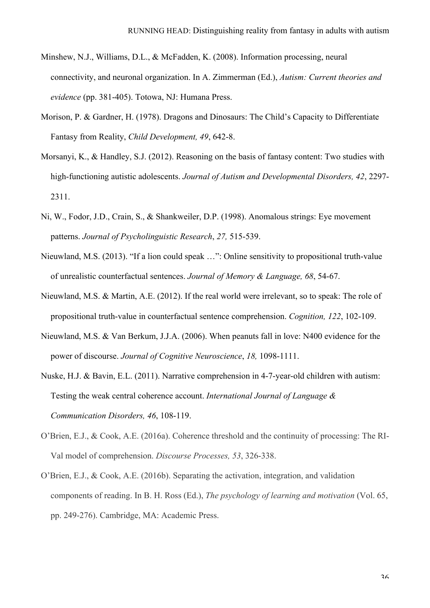- Minshew, N.J., Williams, D.L., & McFadden, K. (2008). Information processing, neural connectivity, and neuronal organization. In A. Zimmerman (Ed.), *Autism: Current theories and evidence* (pp. 381-405). Totowa, NJ: Humana Press.
- Morison, P. & Gardner, H. (1978). Dragons and Dinosaurs: The Child's Capacity to Differentiate Fantasy from Reality, *Child Development, 49*, 642-8.
- Morsanyi, K., & Handley, S.J. (2012). Reasoning on the basis of fantasy content: Two studies with high-functioning autistic adolescents. *Journal of Autism and Developmental Disorders, 42*, 2297- 2311.
- Ni, W., Fodor, J.D., Crain, S., & Shankweiler, D.P. (1998). Anomalous strings: Eye movement patterns. *Journal of Psycholinguistic Research*, *27,* 515-539.
- Nieuwland, M.S. (2013). "If a lion could speak …": Online sensitivity to propositional truth-value of unrealistic counterfactual sentences. *Journal of Memory & Language, 68*, 54-67.
- Nieuwland, M.S. & Martin, A.E. (2012). If the real world were irrelevant, so to speak: The role of propositional truth-value in counterfactual sentence comprehension. *Cognition, 122*, 102-109.
- Nieuwland, M.S. & Van Berkum, J.J.A. (2006). When peanuts fall in love: N400 evidence for the power of discourse. *Journal of Cognitive Neuroscience*, *18,* 1098-1111.
- Nuske, H.J. & Bavin, E.L. (2011). Narrative comprehension in 4-7-year-old children with autism: Testing the weak central coherence account. *International Journal of Language & Communication Disorders, 46*, 108-119.
- O'Brien, E.J., & Cook, A.E. (2016a). Coherence threshold and the continuity of processing: The RI-Val model of comprehension. *Discourse Processes, 53*, 326-338.
- O'Brien, E.J., & Cook, A.E. (2016b). Separating the activation, integration, and validation components of reading. In B. H. Ross (Ed.), *The psychology of learning and motivation* (Vol. 65, pp. 249-276). Cambridge, MA: Academic Press.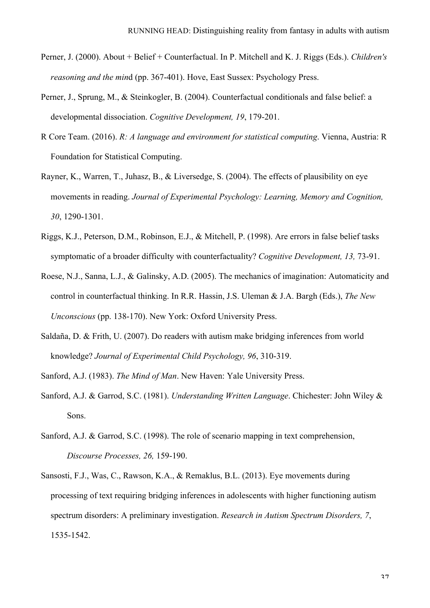- Perner, J. (2000). About + Belief + Counterfactual. In P. Mitchell and K. J. Riggs (Eds.). *Children's reasoning and the mind (pp. 367-401). Hove, East Sussex: Psychology Press.*
- Perner, J., Sprung, M., & Steinkogler, B. (2004). Counterfactual conditionals and false belief: a developmental dissociation. *Cognitive Development, 19*, 179-201.
- R Core Team. (2016). *R: A language and environment for statistical computing*. Vienna, Austria: R Foundation for Statistical Computing.
- Rayner, K., Warren, T., Juhasz, B., & Liversedge, S. (2004). The effects of plausibility on eye movements in reading. *Journal of Experimental Psychology: Learning, Memory and Cognition, 30*, 1290-1301.
- Riggs, K.J., Peterson, D.M., Robinson, E.J., & Mitchell, P. (1998). Are errors in false belief tasks symptomatic of a broader difficulty with counterfactuality? *Cognitive Development, 13,* 73-91.
- Roese, N.J., Sanna, L.J., & Galinsky, A.D. (2005). The mechanics of imagination: Automaticity and control in counterfactual thinking. In R.R. Hassin, J.S. Uleman & J.A. Bargh (Eds.), *The New Unconscious* (pp. 138-170). New York: Oxford University Press.
- Saldaña, D. & Frith, U. (2007). Do readers with autism make bridging inferences from world knowledge? *Journal of Experimental Child Psychology, 96*, 310-319.
- Sanford, A.J. (1983). *The Mind of Man*. New Haven: Yale University Press.
- Sanford, A.J. & Garrod, S.C. (1981). *Understanding Written Language*. Chichester: John Wiley & Sons.
- Sanford, A.J. & Garrod, S.C. (1998). The role of scenario mapping in text comprehension, *Discourse Processes, 26,* 159-190.
- Sansosti, F.J., Was, C., Rawson, K.A., & Remaklus, B.L. (2013). Eye movements during processing of text requiring bridging inferences in adolescents with higher functioning autism spectrum disorders: A preliminary investigation. *Research in Autism Spectrum Disorders, 7*, 1535-1542.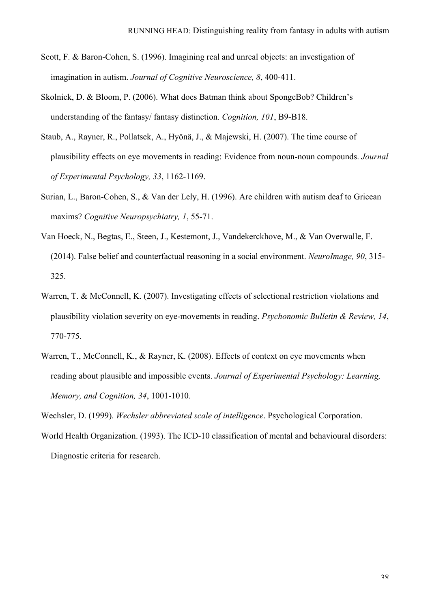- Scott, F. & Baron-Cohen, S. (1996). Imagining real and unreal objects: an investigation of imagination in autism. *Journal of Cognitive Neuroscience, 8*, 400-411.
- Skolnick, D. & Bloom, P. (2006). What does Batman think about SpongeBob? Children's understanding of the fantasy/ fantasy distinction. *Cognition, 101*, B9-B18.
- Staub, A., Rayner, R., Pollatsek, A., Hyönä, J., & Majewski, H. (2007). The time course of plausibility effects on eye movements in reading: Evidence from noun-noun compounds. *Journal of Experimental Psychology, 33*, 1162-1169.
- Surian, L., Baron-Cohen, S., & Van der Lely, H. (1996). Are children with autism deaf to Gricean maxims? *Cognitive Neuropsychiatry, 1*, 55-71.
- Van Hoeck, N., Begtas, E., Steen, J., Kestemont, J., Vandekerckhove, M., & Van Overwalle, F. (2014). False belief and counterfactual reasoning in a social environment. *NeuroImage, 90*, 315- 325.
- Warren, T. & McConnell, K. (2007). Investigating effects of selectional restriction violations and plausibility violation severity on eye-movements in reading. *Psychonomic Bulletin & Review, 14*, 770-775.
- Warren, T., McConnell, K., & Rayner, K. (2008). Effects of context on eye movements when reading about plausible and impossible events. *Journal of Experimental Psychology: Learning, Memory, and Cognition, 34*, 1001-1010.
- Wechsler, D. (1999). *Wechsler abbreviated scale of intelligence*. Psychological Corporation.
- World Health Organization. (1993). The ICD-10 classification of mental and behavioural disorders: Diagnostic criteria for research.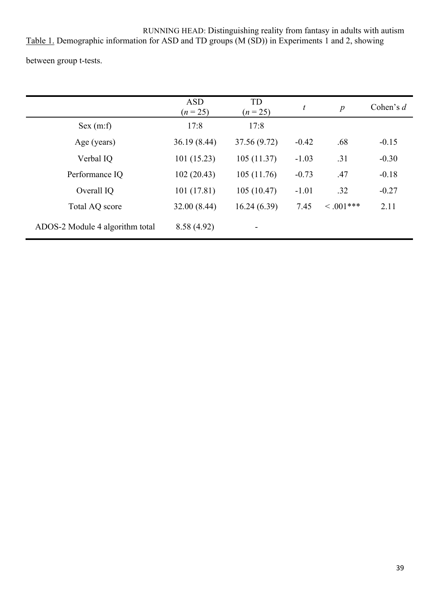between group t-tests.

|                                 | <b>ASD</b><br>$(n = 25)$ | TD<br>$(n = 25)$ | $\boldsymbol{t}$ | $\boldsymbol{p}$ | Cohen's $d$ |
|---------------------------------|--------------------------|------------------|------------------|------------------|-------------|
| Sex (m.f)                       | 17:8                     | 17:8             |                  |                  |             |
| Age (years)                     | 36.19(8.44)              | 37.56 (9.72)     | $-0.42$          | .68              | $-0.15$     |
| Verbal IQ                       | 101(15.23)               | 105(11.37)       | $-1.03$          | .31              | $-0.30$     |
| Performance IQ                  | 102(20.43)               | 105(11.76)       | $-0.73$          | .47              | $-0.18$     |
| Overall IQ                      | 101(17.81)               | 105(10.47)       | $-1.01$          | .32              | $-0.27$     |
| Total AQ score                  | 32.00(8.44)              | 16.24(6.39)      | 7.45             | $\leq .001$ ***  | 2.11        |
| ADOS-2 Module 4 algorithm total | 8.58 (4.92)              | -                |                  |                  |             |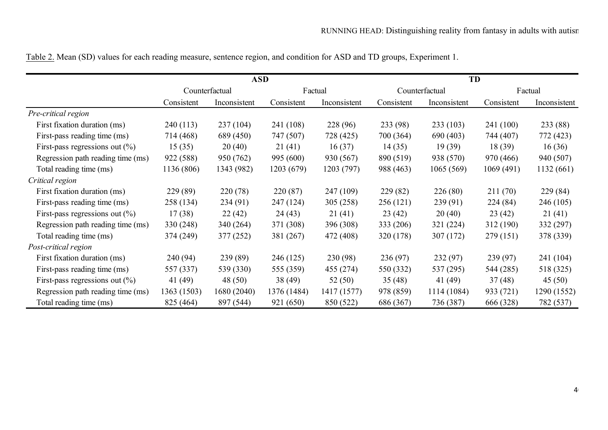|                                    |             | <b>ASD</b>     |             |              | <b>TD</b>  |                |            |              |  |  |  |
|------------------------------------|-------------|----------------|-------------|--------------|------------|----------------|------------|--------------|--|--|--|
|                                    |             | Counterfactual |             | Factual      |            | Counterfactual | Factual    |              |  |  |  |
|                                    | Consistent  | Inconsistent   | Consistent  | Inconsistent | Consistent | Inconsistent   | Consistent | Inconsistent |  |  |  |
| Pre-critical region                |             |                |             |              |            |                |            |              |  |  |  |
| First fixation duration (ms)       | 240 (113)   | 237(104)       | 241 (108)   | 228 (96)     | 233 (98)   | 233(103)       | 241 (100)  | 233 (88)     |  |  |  |
| First-pass reading time (ms)       | 714 (468)   | 689 (450)      | 747 (507)   | 728 (425)    | 700 (364)  | 690 (403)      | 744 (407)  | 772 (423)    |  |  |  |
| First-pass regressions out $(\% )$ | 15(35)      | 20(40)         | 21(41)      | 16(37)       | 14(35)     | 19(39)         | 18(39)     | 16(36)       |  |  |  |
| Regression path reading time (ms)  | 922 (588)   | 950 (762)      | 995 (600)   | 930 (567)    | 890 (519)  | 938 (570)      | 970 (466)  | 940 (507)    |  |  |  |
| Total reading time (ms)            | 1136 (806)  | 1343 (982)     | 1203 (679)  | 1203 (797)   | 988 (463)  | 1065(569)      | 1069(491)  | 1132 (661)   |  |  |  |
| Critical region                    |             |                |             |              |            |                |            |              |  |  |  |
| First fixation duration (ms)       | 229(89)     | 220 (78)       | 220(87)     | 247(109)     | 229 (82)   | 226(80)        | 211(70)    | 229(84)      |  |  |  |
| First-pass reading time (ms)       | 258 (134)   | 234(91)        | 247 (124)   | 305 (258)    | 256 (121)  | 239(91)        | 224 (84)   | 246 (105)    |  |  |  |
| First-pass regressions out $(\% )$ | 17(38)      | 22(42)         | 24(43)      | 21(41)       | 23(42)     | 20(40)         | 23(42)     | 21(41)       |  |  |  |
| Regression path reading time (ms)  | 330 (248)   | 340 (264)      | 371 (308)   | 396 (308)    | 333 (206)  | 321 (224)      | 312 (190)  | 332 (297)    |  |  |  |
| Total reading time (ms)            | 374 (249)   | 377 (252)      | 381 (267)   | 472 (408)    | 320 (178)  | 307(172)       | 279 (151)  | 378 (339)    |  |  |  |
| Post-critical region               |             |                |             |              |            |                |            |              |  |  |  |
| First fixation duration (ms)       | 240 (94)    | 239(89)        | 246 (125)   | 230(98)      | 236(97)    | 232(97)        | 239(97)    | 241 (104)    |  |  |  |
| First-pass reading time (ms)       | 557 (337)   | 539 (330)      | 555 (359)   | 455 (274)    | 550 (332)  | 537 (295)      | 544 (285)  | 518 (325)    |  |  |  |
| First-pass regressions out $(\% )$ | 41 (49)     | 48 (50)        | 38 (49)     | 52(50)       | 35(48)     | 41 (49)        | 37(48)     | 45(50)       |  |  |  |
| Regression path reading time (ms)  | 1363 (1503) | 1680 (2040)    | 1376 (1484) | 1417 (1577)  | 978 (859)  | 1114 (1084)    | 933 (721)  | 1290 (1552)  |  |  |  |
| Total reading time (ms)            | 825 (464)   | 897 (544)      | 921 (650)   | 850 (522)    | 686 (367)  | 736 (387)      | 666 (328)  | 782 (537)    |  |  |  |

Table 2. Mean (SD) values for each reading measure, sentence region, and condition for ASD and TD groups, Experiment 1.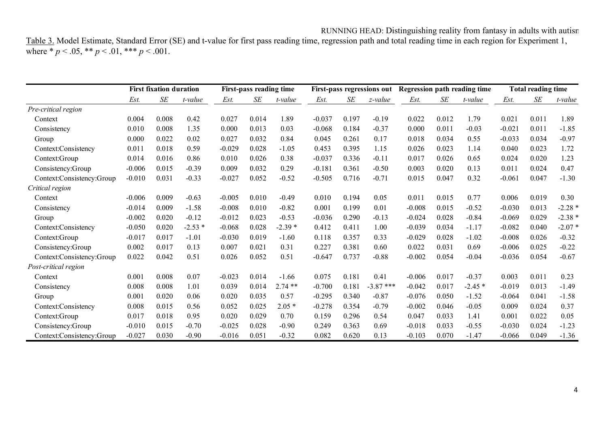|                           | <b>First fixation duration</b> |       | First-pass reading time |          |           | <b>First-pass regressions out</b> |          |       | Regression path reading time |          |        | <b>Total reading time</b> |          |           |          |
|---------------------------|--------------------------------|-------|-------------------------|----------|-----------|-----------------------------------|----------|-------|------------------------------|----------|--------|---------------------------|----------|-----------|----------|
|                           | Est.                           | SE    | t-value                 | Est.     | $\cal SE$ | t-value                           | Est.     | SE    | z-value                      | Est.     | $S\!E$ | t-value                   | Est.     | $\cal SE$ | t-value  |
| Pre-critical region       |                                |       |                         |          |           |                                   |          |       |                              |          |        |                           |          |           |          |
| Context                   | 0.004                          | 0.008 | 0.42                    | 0.027    | 0.014     | 1.89                              | $-0.037$ | 0.197 | $-0.19$                      | 0.022    | 0.012  | 1.79                      | 0.021    | 0.011     | 1.89     |
| Consistency               | 0.010                          | 0.008 | 1.35                    | 0.000    | 0.013     | 0.03                              | $-0.068$ | 0.184 | $-0.37$                      | 0.000    | 0.011  | $-0.03$                   | $-0.021$ | 0.011     | $-1.85$  |
| Group                     | 0.000                          | 0.022 | 0.02                    | 0.027    | 0.032     | 0.84                              | 0.045    | 0.261 | 0.17                         | 0.018    | 0.034  | 0.55                      | $-0.033$ | 0.034     | $-0.97$  |
| Context:Consistency       | 0.011                          | 0.018 | 0.59                    | $-0.029$ | 0.028     | $-1.05$                           | 0.453    | 0.395 | 1.15                         | 0.026    | 0.023  | 1.14                      | 0.040    | 0.023     | 1.72     |
| Context:Group             | 0.014                          | 0.016 | 0.86                    | 0.010    | 0.026     | 0.38                              | $-0.037$ | 0.336 | $-0.11$                      | 0.017    | 0.026  | 0.65                      | 0.024    | 0.020     | 1.23     |
| Consistency:Group         | $-0.006$                       | 0.015 | $-0.39$                 | 0.009    | 0.032     | 0.29                              | $-0.181$ | 0.361 | $-0.50$                      | 0.003    | 0.020  | 0.13                      | 0.011    | 0.024     | 0.47     |
| Context:Consistency:Group | $-0.010$                       | 0.031 | $-0.33$                 | $-0.027$ | 0.052     | $-0.52$                           | $-0.505$ | 0.716 | $-0.71$                      | 0.015    | 0.047  | 0.32                      | $-0.061$ | 0.047     | $-1.30$  |
| Critical region           |                                |       |                         |          |           |                                   |          |       |                              |          |        |                           |          |           |          |
| Context                   | $-0.006$                       | 0.009 | $-0.63$                 | $-0.005$ | 0.010     | $-0.49$                           | 0.010    | 0.194 | 0.05                         | 0.011    | 0.015  | 0.77                      | 0.006    | 0.019     | 0.30     |
| Consistency               | $-0.014$                       | 0.009 | $-1.58$                 | $-0.008$ | 0.010     | $-0.82$                           | 0.001    | 0.199 | 0.01                         | $-0.008$ | 0.015  | $-0.52$                   | $-0.030$ | 0.013     | $-2.28*$ |
| Group                     | $-0.002$                       | 0.020 | $-0.12$                 | $-0.012$ | 0.023     | $-0.53$                           | $-0.036$ | 0.290 | $-0.13$                      | $-0.024$ | 0.028  | $-0.84$                   | $-0.069$ | 0.029     | $-2.38*$ |
| Context:Consistency       | $-0.050$                       | 0.020 | $-2.53*$                | $-0.068$ | 0.028     | $-2.39*$                          | 0.412    | 0.411 | 1.00                         | $-0.039$ | 0.034  | $-1.17$                   | $-0.082$ | 0.040     | $-2.07*$ |
| Context:Group             | $-0.017$                       | 0.017 | $-1.01$                 | $-0.030$ | 0.019     | $-1.60$                           | 0.118    | 0.357 | 0.33                         | $-0.029$ | 0.028  | $-1.02$                   | $-0.008$ | 0.026     | $-0.32$  |
| Consistency:Group         | 0.002                          | 0.017 | 0.13                    | 0.007    | 0.021     | 0.31                              | 0.227    | 0.381 | 0.60                         | 0.022    | 0.031  | 0.69                      | $-0.006$ | 0.025     | $-0.22$  |
| Context:Consistency:Group | 0.022                          | 0.042 | 0.51                    | 0.026    | 0.052     | 0.51                              | $-0.647$ | 0.737 | $-0.88$                      | $-0.002$ | 0.054  | $-0.04$                   | $-0.036$ | 0.054     | $-0.67$  |
| Post-critical region      |                                |       |                         |          |           |                                   |          |       |                              |          |        |                           |          |           |          |
| Context                   | 0.001                          | 0.008 | 0.07                    | $-0.023$ | 0.014     | $-1.66$                           | 0.075    | 0.181 | 0.41                         | $-0.006$ | 0.017  | $-0.37$                   | 0.003    | 0.011     | 0.23     |
| Consistency               | 0.008                          | 0.008 | 1.01                    | 0.039    | 0.014     | $2.74$ **                         | $-0.700$ | 0.181 | $-3.87$ ***                  | $-0.042$ | 0.017  | $-2.45*$                  | $-0.019$ | 0.013     | $-1.49$  |
| Group                     | 0.001                          | 0.020 | 0.06                    | 0.020    | 0.035     | 0.57                              | $-0.295$ | 0.340 | $-0.87$                      | $-0.076$ | 0.050  | $-1.52$                   | $-0.064$ | 0.041     | $-1.58$  |
| Context:Consistency       | 0.008                          | 0.015 | 0.56                    | 0.052    | 0.025     | $2.05*$                           | $-0.278$ | 0.354 | $-0.79$                      | $-0.002$ | 0.046  | $-0.05$                   | 0.009    | 0.024     | 0.37     |
| Context:Group             | 0.017                          | 0.018 | 0.95                    | 0.020    | 0.029     | 0.70                              | 0.159    | 0.296 | 0.54                         | 0.047    | 0.033  | 1.41                      | 0.001    | 0.022     | 0.05     |
| Consistency:Group         | $-0.010$                       | 0.015 | $-0.70$                 | $-0.025$ | 0.028     | $-0.90$                           | 0.249    | 0.363 | 0.69                         | $-0.018$ | 0.033  | $-0.55$                   | $-0.030$ | 0.024     | $-1.23$  |
| Context:Consistency:Group | $-0.027$                       | 0.030 | $-0.90$                 | $-0.016$ | 0.051     | $-0.32$                           | 0.082    | 0.620 | 0.13                         | $-0.103$ | 0.070  | $-1.47$                   | $-0.066$ | 0.049     | $-1.36$  |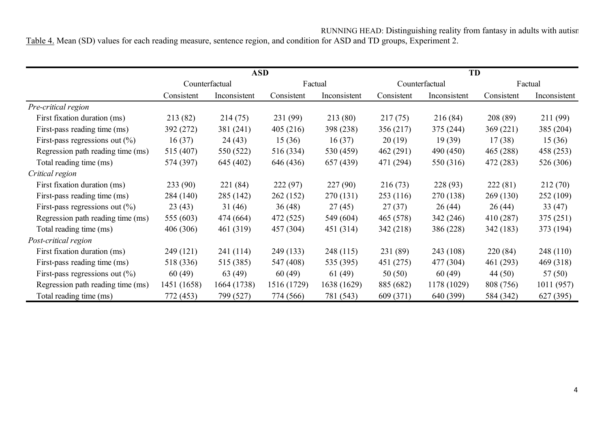|                                    |             | <b>ASD</b>     |                        |              | <b>TD</b>        |                |            |              |  |  |  |
|------------------------------------|-------------|----------------|------------------------|--------------|------------------|----------------|------------|--------------|--|--|--|
|                                    |             | Counterfactual |                        | Factual      |                  | Counterfactual |            | Factual      |  |  |  |
|                                    | Consistent  | Inconsistent   | Consistent             | Inconsistent | Consistent       | Inconsistent   | Consistent | Inconsistent |  |  |  |
| Pre-critical region                |             |                |                        |              |                  |                |            |              |  |  |  |
| First fixation duration (ms)       | 213 (82)    | 214(75)        | 231 (99)               | 213 (80)     | 217(75)          | 216 (84)       | 208 (89)   | 211 (99)     |  |  |  |
| First-pass reading time (ms)       | 392 (272)   | 381 (241)      | 405(216)               | 398 (238)    | 356 (217)        | 375 (244)      | 369 (221)  | 385 (204)    |  |  |  |
| First-pass regressions out $(\% )$ | 16(37)      | 24(43)         | 15(36)                 | 16(37)       | 20(19)           | 19(39)         | 17(38)     | 15(36)       |  |  |  |
| Regression path reading time (ms)  | 515 (407)   | 550 (522)      | 516 (334)              | 530 (459)    | 462 (291)        | 490 (450)      | 465 (288)  | 458 (253)    |  |  |  |
| Total reading time (ms)            | 574 (397)   | 645 (402)      | 646 (436)              | 657 (439)    | 471 (294)        | 550 (316)      | 472 (283)  | 526 (306)    |  |  |  |
| Critical region                    |             |                |                        |              |                  |                |            |              |  |  |  |
| First fixation duration (ms)       | 233(90)     | 221 (84)       | 222(97)                | 227(90)      | 216(73)          | 228 (93)       | 222(81)    | 212(70)      |  |  |  |
| First-pass reading time (ms)       | 284 (140)   | 285 (142)      | 262 (152)<br>270 (131) |              | 253 (116)        | 270 (138)      |            | 252(109)     |  |  |  |
| First-pass regressions out $(\% )$ | 23(43)      | 31(46)         | 36(48)                 | 27(45)       | 27(37)<br>26(44) |                | 26(44)     | 33(47)       |  |  |  |
| Regression path reading time (ms)  | 555 (603)   | 474 (664)      | 472 (525)              | 549 (604)    | 465 (578)        | 342 (246)      |            | 375 (251)    |  |  |  |
| Total reading time (ms)            | 406 (306)   | 461 (319)      | 457 (304)              | 451 (314)    | 342 (218)        | 386 (228)      | 342 (183)  | 373 (194)    |  |  |  |
| Post-critical region               |             |                |                        |              |                  |                |            |              |  |  |  |
| First fixation duration (ms)       | 249(121)    | 241 (114)      | 249 (133)              | 248(115)     | 231 (89)         | 243 (108)      | 220(84)    | 248(110)     |  |  |  |
| First-pass reading time (ms)       | 518 (336)   | 515 (385)      | 547 (408)              | 535 (395)    | 451 (275)        | 477 (304)      | 461 (293)  | 469 (318)    |  |  |  |
| First-pass regressions out $(\% )$ | 60(49)      | 63(49)         | 60(49)                 | 61(49)       | 50(50)           | 60(49)         | 44 (50)    | 57 (50)      |  |  |  |
| Regression path reading time (ms)  | 1451 (1658) | 1664 (1738)    | 1516 (1729)            | 1638 (1629)  | 885 (682)        | 1178 (1029)    | 808 (756)  | 1011(957)    |  |  |  |
| Total reading time (ms)            | 772 (453)   | 799 (527)      | 774 (566)              | 781 (543)    | 609 (371)        | 640 (399)      | 584 (342)  | 627 (395)    |  |  |  |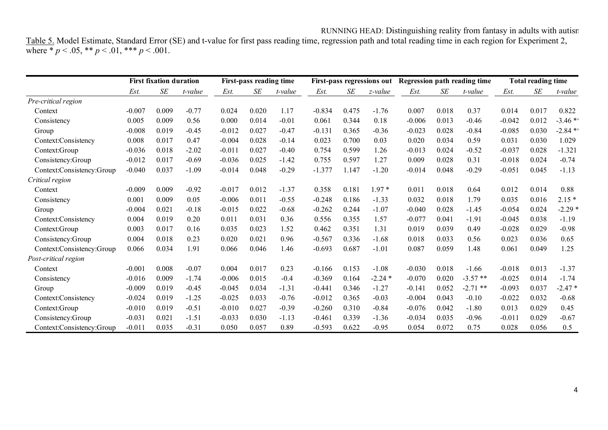Table 5. Model Estimate, Standard Error (SE) and t-value for first pass reading time, regression path and total reading time in each region for Experiment 2, where  $* p < .05, ** p < .01, ** p < .001$ .

|                           | <b>First fixation duration</b> |       | <b>First-pass reading time</b> |          | <b>First-pass regressions out</b> |         |          | Regression path reading time |          |          | <b>Total reading time</b> |            |          |           |            |
|---------------------------|--------------------------------|-------|--------------------------------|----------|-----------------------------------|---------|----------|------------------------------|----------|----------|---------------------------|------------|----------|-----------|------------|
|                           | Est.                           | SE    | t-value                        | Est.     | SE                                | t-value | Est.     | $\cal SE$                    | z-value  | Est.     | SE                        | t-value    | Est.     | $\cal SE$ | t-value    |
| Pre-critical region       |                                |       |                                |          |                                   |         |          |                              |          |          |                           |            |          |           |            |
| Context                   | $-0.007$                       | 0.009 | $-0.77$                        | 0.024    | 0.020                             | 1.17    | $-0.834$ | 0.475                        | $-1.76$  | 0.007    | 0.018                     | 0.37       | 0.014    | 0.017     | 0.822      |
| Consistency               | 0.005                          | 0.009 | 0.56                           | 0.000    | 0.014                             | $-0.01$ | 0.061    | 0.344                        | 0.18     | $-0.006$ | 0.013                     | $-0.46$    | $-0.042$ | 0.012     | $-3.46$ ** |
| Group                     | $-0.008$                       | 0.019 | $-0.45$                        | $-0.012$ | 0.027                             | $-0.47$ | $-0.131$ | 0.365                        | $-0.36$  | $-0.023$ | 0.028                     | $-0.84$    | $-0.085$ | 0.030     | $-2.84$ *  |
| Context:Consistency       | 0.008                          | 0.017 | 0.47                           | $-0.004$ | 0.028                             | $-0.14$ | 0.023    | 0.700                        | 0.03     | 0.020    | 0.034                     | 0.59       | 0.031    | 0.030     | 1.029      |
| Context:Group             | $-0.036$                       | 0.018 | $-2.02$                        | $-0.011$ | 0.027                             | $-0.40$ | 0.754    | 0.599                        | 1.26     | $-0.013$ | 0.024                     | $-0.52$    | $-0.037$ | 0.028     | $-1.321$   |
| Consistency:Group         | $-0.012$                       | 0.017 | $-0.69$                        | $-0.036$ | 0.025                             | $-1.42$ | 0.755    | 0.597                        | 1.27     | 0.009    | 0.028                     | 0.31       | $-0.018$ | 0.024     | $-0.74$    |
| Context:Consistency:Group | $-0.040$                       | 0.037 | $-1.09$                        | $-0.014$ | 0.048                             | $-0.29$ | $-1.377$ | 1.147                        | $-1.20$  | $-0.014$ | 0.048                     | $-0.29$    | $-0.051$ | 0.045     | $-1.13$    |
| Critical region           |                                |       |                                |          |                                   |         |          |                              |          |          |                           |            |          |           |            |
| Context                   | $-0.009$                       | 0.009 | $-0.92$                        | $-0.017$ | 0.012                             | $-1.37$ | 0.358    | 0.181                        | $1.97*$  | 0.011    | 0.018                     | 0.64       | 0.012    | 0.014     | 0.88       |
| Consistency               | 0.001                          | 0.009 | 0.05                           | $-0.006$ | 0.011                             | $-0.55$ | $-0.248$ | 0.186                        | $-1.33$  | 0.032    | 0.018                     | 1.79       | 0.035    | 0.016     | $2.15*$    |
| Group                     | $-0.004$                       | 0.021 | $-0.18$                        | $-0.015$ | 0.022                             | $-0.68$ | $-0.262$ | 0.244                        | $-1.07$  | $-0.040$ | 0.028                     | $-1.45$    | $-0.054$ | 0.024     | $-2.29*$   |
| Context:Consistency       | 0.004                          | 0.019 | 0.20                           | 0.011    | 0.031                             | 0.36    | 0.556    | 0.355                        | 1.57     | $-0.077$ | 0.041                     | $-1.91$    | $-0.045$ | 0.038     | $-1.19$    |
| Context:Group             | 0.003                          | 0.017 | 0.16                           | 0.035    | 0.023                             | 1.52    | 0.462    | 0.351                        | 1.31     | 0.019    | 0.039                     | 0.49       | $-0.028$ | 0.029     | $-0.98$    |
| Consistency:Group         | 0.004                          | 0.018 | 0.23                           | 0.020    | 0.021                             | 0.96    | $-0.567$ | 0.336                        | $-1.68$  | 0.018    | 0.033                     | 0.56       | 0.023    | 0.036     | 0.65       |
| Context:Consistency:Group | 0.066                          | 0.034 | 1.91                           | 0.066    | 0.046                             | 1.46    | $-0.693$ | 0.687                        | $-1.01$  | 0.087    | 0.059                     | 1.48       | 0.061    | 0.049     | 1.25       |
| Post-critical region      |                                |       |                                |          |                                   |         |          |                              |          |          |                           |            |          |           |            |
| Context                   | $-0.001$                       | 0.008 | $-0.07$                        | 0.004    | 0.017                             | 0.23    | $-0.166$ | 0.153                        | $-1.08$  | $-0.030$ | 0.018                     | $-1.66$    | $-0.018$ | 0.013     | $-1.37$    |
| Consistency               | $-0.016$                       | 0.009 | $-1.74$                        | $-0.006$ | 0.015                             | $-0.4$  | $-0.369$ | 0.164                        | $-2.24*$ | $-0.070$ | 0.020                     | $-3.57**$  | $-0.025$ | 0.014     | $-1.74$    |
| Group                     | $-0.009$                       | 0.019 | $-0.45$                        | $-0.045$ | 0.034                             | $-1.31$ | $-0.441$ | 0.346                        | $-1.27$  | $-0.141$ | 0.052                     | $-2.71$ ** | $-0.093$ | 0.037     | $-2.47*$   |
| Context:Consistency       | $-0.024$                       | 0.019 | $-1.25$                        | $-0.025$ | 0.033                             | $-0.76$ | $-0.012$ | 0.365                        | $-0.03$  | $-0.004$ | 0.043                     | $-0.10$    | $-0.022$ | 0.032     | $-0.68$    |
| Context:Group             | $-0.010$                       | 0.019 | $-0.51$                        | $-0.010$ | 0.027                             | $-0.39$ | $-0.260$ | 0.310                        | $-0.84$  | $-0.076$ | 0.042                     | $-1.80$    | 0.013    | 0.029     | 0.45       |
| Consistency: Group        | $-0.031$                       | 0.021 | $-1.51$                        | $-0.033$ | 0.030                             | $-1.13$ | $-0.461$ | 0.339                        | $-1.36$  | $-0.034$ | 0.035                     | $-0.96$    | $-0.011$ | 0.029     | $-0.67$    |
| Context:Consistency:Group | $-0.011$                       | 0.035 | $-0.31$                        | 0.050    | 0.057                             | 0.89    | $-0.593$ | 0.622                        | $-0.95$  | 0.054    | 0.072                     | 0.75       | 0.028    | 0.056     | 0.5        |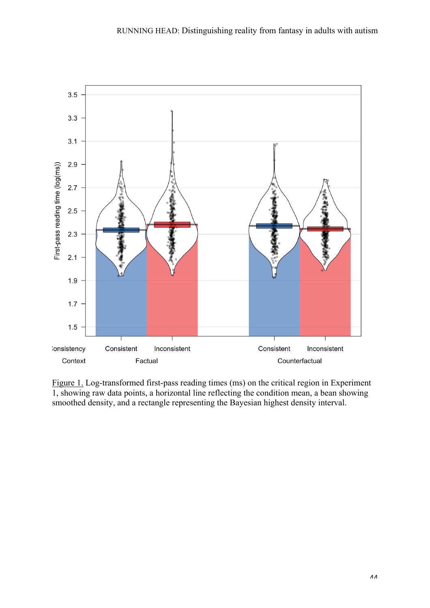

Figure 1. Log-transformed first-pass reading times (ms) on the critical region in Experiment 1, showing raw data points, a horizontal line reflecting the condition mean, a bean showing smoothed density, and a rectangle representing the Bayesian highest density interval.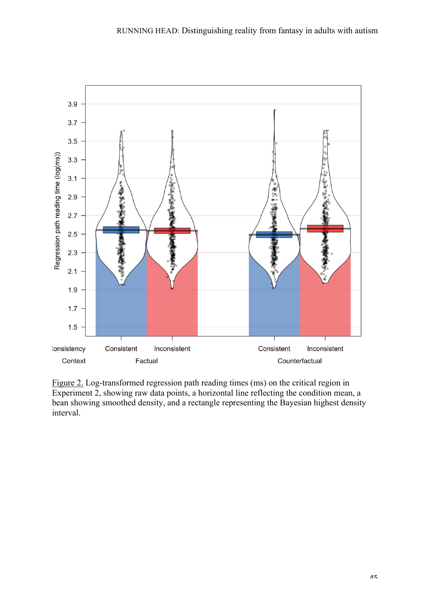

Figure 2. Log-transformed regression path reading times (ms) on the critical region in Experiment 2, showing raw data points, a horizontal line reflecting the condition mean, a bean showing smoothed density, and a rectangle representing the Bayesian highest density interval.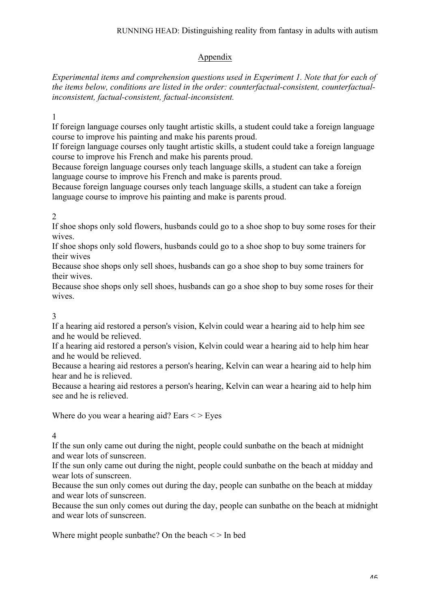# Appendix

*Experimental items and comprehension questions used in Experiment 1. Note that for each of the items below, conditions are listed in the order: counterfactual-consistent, counterfactualinconsistent, factual-consistent, factual-inconsistent.*

1

If foreign language courses only taught artistic skills, a student could take a foreign language course to improve his painting and make his parents proud.

If foreign language courses only taught artistic skills, a student could take a foreign language course to improve his French and make his parents proud.

Because foreign language courses only teach language skills, a student can take a foreign language course to improve his French and make is parents proud.

Because foreign language courses only teach language skills, a student can take a foreign language course to improve his painting and make is parents proud.

# 2

If shoe shops only sold flowers, husbands could go to a shoe shop to buy some roses for their wives.

If shoe shops only sold flowers, husbands could go to a shoe shop to buy some trainers for their wives

Because shoe shops only sell shoes, husbands can go a shoe shop to buy some trainers for their wives.

Because shoe shops only sell shoes, husbands can go a shoe shop to buy some roses for their wives.

3

If a hearing aid restored a person's vision, Kelvin could wear a hearing aid to help him see and he would be relieved.

If a hearing aid restored a person's vision, Kelvin could wear a hearing aid to help him hear and he would be relieved.

Because a hearing aid restores a person's hearing, Kelvin can wear a hearing aid to help him hear and he is relieved.

Because a hearing aid restores a person's hearing, Kelvin can wear a hearing aid to help him see and he is relieved.

Where do you wear a hearing aid? Ears  $\le$  > Eyes

# 4

If the sun only came out during the night, people could sunbathe on the beach at midnight and wear lots of sunscreen.

If the sun only came out during the night, people could sunbathe on the beach at midday and wear lots of sunscreen.

Because the sun only comes out during the day, people can sunbathe on the beach at midday and wear lots of sunscreen.

Because the sun only comes out during the day, people can sunbathe on the beach at midnight and wear lots of sunscreen.

Where might people sunbathe? On the beach  $\leq$  In bed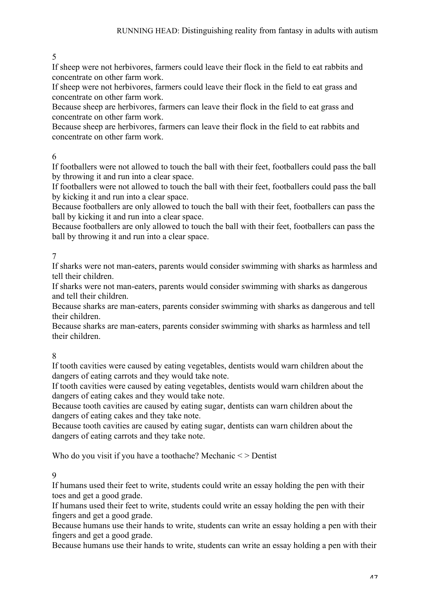# 5

If sheep were not herbivores, farmers could leave their flock in the field to eat rabbits and concentrate on other farm work.

If sheep were not herbivores, farmers could leave their flock in the field to eat grass and concentrate on other farm work.

Because sheep are herbivores, farmers can leave their flock in the field to eat grass and concentrate on other farm work.

Because sheep are herbivores, farmers can leave their flock in the field to eat rabbits and concentrate on other farm work.

# 6

If footballers were not allowed to touch the ball with their feet, footballers could pass the ball by throwing it and run into a clear space.

If footballers were not allowed to touch the ball with their feet, footballers could pass the ball by kicking it and run into a clear space.

Because footballers are only allowed to touch the ball with their feet, footballers can pass the ball by kicking it and run into a clear space.

Because footballers are only allowed to touch the ball with their feet, footballers can pass the ball by throwing it and run into a clear space.

# 7

If sharks were not man-eaters, parents would consider swimming with sharks as harmless and tell their children.

If sharks were not man-eaters, parents would consider swimming with sharks as dangerous and tell their children.

Because sharks are man-eaters, parents consider swimming with sharks as dangerous and tell their children.

Because sharks are man-eaters, parents consider swimming with sharks as harmless and tell their children.

# 8

If tooth cavities were caused by eating vegetables, dentists would warn children about the dangers of eating carrots and they would take note.

If tooth cavities were caused by eating vegetables, dentists would warn children about the dangers of eating cakes and they would take note.

Because tooth cavities are caused by eating sugar, dentists can warn children about the dangers of eating cakes and they take note.

Because tooth cavities are caused by eating sugar, dentists can warn children about the dangers of eating carrots and they take note.

Who do you visit if you have a toothache? Mechanic <> Dentist

# 9

If humans used their feet to write, students could write an essay holding the pen with their toes and get a good grade.

If humans used their feet to write, students could write an essay holding the pen with their fingers and get a good grade.

Because humans use their hands to write, students can write an essay holding a pen with their fingers and get a good grade.

Because humans use their hands to write, students can write an essay holding a pen with their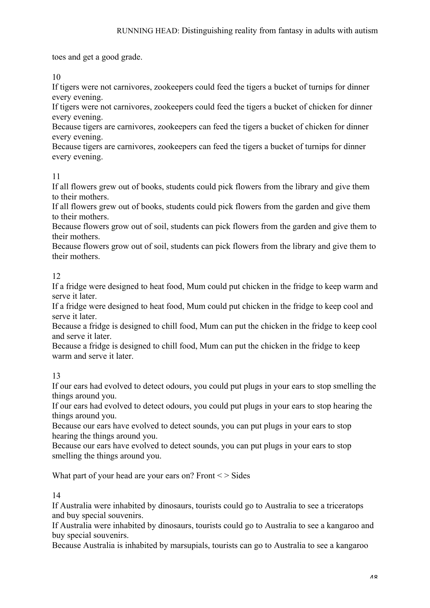toes and get a good grade.

10

If tigers were not carnivores, zookeepers could feed the tigers a bucket of turnips for dinner every evening.

If tigers were not carnivores, zookeepers could feed the tigers a bucket of chicken for dinner every evening.

Because tigers are carnivores, zookeepers can feed the tigers a bucket of chicken for dinner every evening.

Because tigers are carnivores, zookeepers can feed the tigers a bucket of turnips for dinner every evening.

# 11

If all flowers grew out of books, students could pick flowers from the library and give them to their mothers.

If all flowers grew out of books, students could pick flowers from the garden and give them to their mothers.

Because flowers grow out of soil, students can pick flowers from the garden and give them to their mothers.

Because flowers grow out of soil, students can pick flowers from the library and give them to their mothers.

# 12

If a fridge were designed to heat food, Mum could put chicken in the fridge to keep warm and serve it later.

If a fridge were designed to heat food, Mum could put chicken in the fridge to keep cool and serve it later.

Because a fridge is designed to chill food, Mum can put the chicken in the fridge to keep cool and serve it later.

Because a fridge is designed to chill food, Mum can put the chicken in the fridge to keep warm and serve it later.

# 13

If our ears had evolved to detect odours, you could put plugs in your ears to stop smelling the things around you.

If our ears had evolved to detect odours, you could put plugs in your ears to stop hearing the things around you.

Because our ears have evolved to detect sounds, you can put plugs in your ears to stop hearing the things around you.

Because our ears have evolved to detect sounds, you can put plugs in your ears to stop smelling the things around you.

What part of your head are your ears on? Front < > Sides

# 14

If Australia were inhabited by dinosaurs, tourists could go to Australia to see a triceratops and buy special souvenirs.

If Australia were inhabited by dinosaurs, tourists could go to Australia to see a kangaroo and buy special souvenirs.

Because Australia is inhabited by marsupials, tourists can go to Australia to see a kangaroo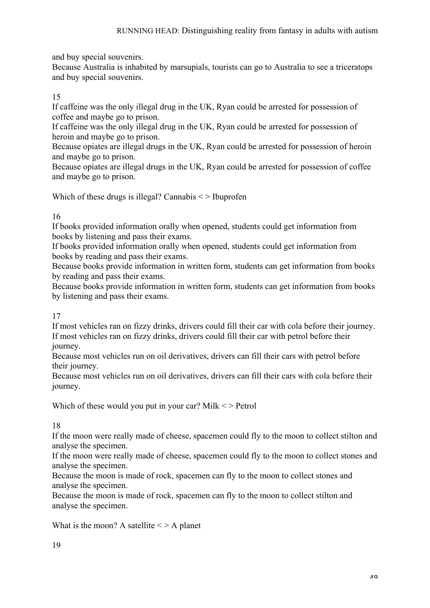and buy special souvenirs.

Because Australia is inhabited by marsupials, tourists can go to Australia to see a triceratops and buy special souvenirs.

# 15

If caffeine was the only illegal drug in the UK, Ryan could be arrested for possession of coffee and maybe go to prison.

If caffeine was the only illegal drug in the UK, Ryan could be arrested for possession of heroin and maybe go to prison.

Because opiates are illegal drugs in the UK, Ryan could be arrested for possession of heroin and maybe go to prison.

Because opiates are illegal drugs in the UK, Ryan could be arrested for possession of coffee and maybe go to prison.

Which of these drugs is illegal? Cannabis  $\le$  > Ibuprofen

# 16

If books provided information orally when opened, students could get information from books by listening and pass their exams.

If books provided information orally when opened, students could get information from books by reading and pass their exams.

Because books provide information in written form, students can get information from books by reading and pass their exams.

Because books provide information in written form, students can get information from books by listening and pass their exams.

# 17

If most vehicles ran on fizzy drinks, drivers could fill their car with cola before their journey. If most vehicles ran on fizzy drinks, drivers could fill their car with petrol before their journey.

Because most vehicles run on oil derivatives, drivers can fill their cars with petrol before their journey.

Because most vehicles run on oil derivatives, drivers can fill their cars with cola before their journey.

Which of these would you put in your car? Milk  $\le$  > Petrol

# 18

If the moon were really made of cheese, spacemen could fly to the moon to collect stilton and analyse the specimen.

If the moon were really made of cheese, spacemen could fly to the moon to collect stones and analyse the specimen.

Because the moon is made of rock, spacemen can fly to the moon to collect stones and analyse the specimen.

Because the moon is made of rock, spacemen can fly to the moon to collect stilton and analyse the specimen.

What is the moon? A satellite  $\leq$  > A planet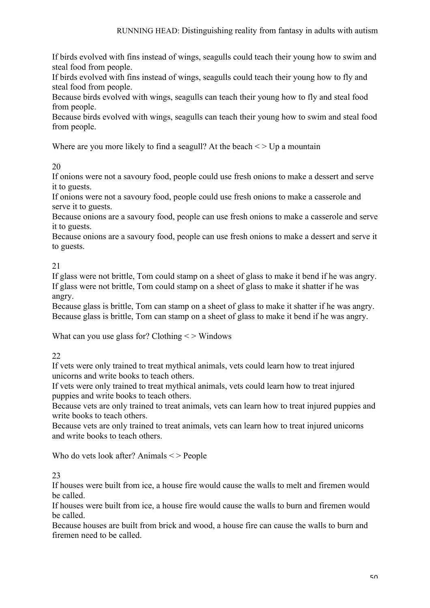If birds evolved with fins instead of wings, seagulls could teach their young how to swim and steal food from people.

If birds evolved with fins instead of wings, seagulls could teach their young how to fly and steal food from people.

Because birds evolved with wings, seagulls can teach their young how to fly and steal food from people.

Because birds evolved with wings, seagulls can teach their young how to swim and steal food from people.

Where are you more likely to find a seagull? At the beach  $\leq$  Up a mountain

# 20

If onions were not a savoury food, people could use fresh onions to make a dessert and serve it to guests.

If onions were not a savoury food, people could use fresh onions to make a casserole and serve it to guests.

Because onions are a savoury food, people can use fresh onions to make a casserole and serve it to guests.

Because onions are a savoury food, people can use fresh onions to make a dessert and serve it to guests.

# 21

If glass were not brittle, Tom could stamp on a sheet of glass to make it bend if he was angry. If glass were not brittle, Tom could stamp on a sheet of glass to make it shatter if he was angry.

Because glass is brittle, Tom can stamp on a sheet of glass to make it shatter if he was angry. Because glass is brittle, Tom can stamp on a sheet of glass to make it bend if he was angry.

What can you use glass for? Clothing  $\leq$  > Windows

# 22

If vets were only trained to treat mythical animals, vets could learn how to treat injured unicorns and write books to teach others.

If vets were only trained to treat mythical animals, vets could learn how to treat injured puppies and write books to teach others.

Because vets are only trained to treat animals, vets can learn how to treat injured puppies and write books to teach others.

Because vets are only trained to treat animals, vets can learn how to treat injured unicorns and write books to teach others.

Who do vets look after? Animals  $\leq$  People

# 23

If houses were built from ice, a house fire would cause the walls to melt and firemen would be called.

If houses were built from ice, a house fire would cause the walls to burn and firemen would be called.

Because houses are built from brick and wood, a house fire can cause the walls to burn and firemen need to be called.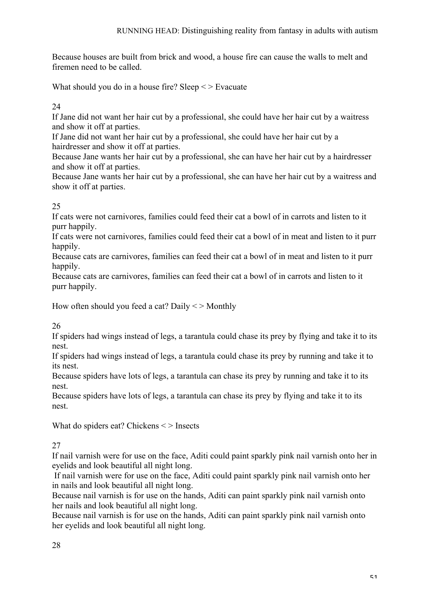Because houses are built from brick and wood, a house fire can cause the walls to melt and firemen need to be called.

What should you do in a house fire? Sleep  $\leq$  Evacuate

# 24

If Jane did not want her hair cut by a professional, she could have her hair cut by a waitress and show it off at parties.

If Jane did not want her hair cut by a professional, she could have her hair cut by a hairdresser and show it off at parties.

Because Jane wants her hair cut by a professional, she can have her hair cut by a hairdresser and show it off at parties.

Because Jane wants her hair cut by a professional, she can have her hair cut by a waitress and show it off at parties.

# 25

If cats were not carnivores, families could feed their cat a bowl of in carrots and listen to it purr happily.

If cats were not carnivores, families could feed their cat a bowl of in meat and listen to it purr happily.

Because cats are carnivores, families can feed their cat a bowl of in meat and listen to it purr happily.

Because cats are carnivores, families can feed their cat a bowl of in carrots and listen to it purr happily.

How often should you feed a cat? Daily  $\leq$  > Monthly

26

If spiders had wings instead of legs, a tarantula could chase its prey by flying and take it to its nest.

If spiders had wings instead of legs, a tarantula could chase its prey by running and take it to its nest.

Because spiders have lots of legs, a tarantula can chase its prey by running and take it to its nest.

Because spiders have lots of legs, a tarantula can chase its prey by flying and take it to its nest.

What do spiders eat? Chickens <> Insects

27

If nail varnish were for use on the face, Aditi could paint sparkly pink nail varnish onto her in eyelids and look beautiful all night long.

If nail varnish were for use on the face, Aditi could paint sparkly pink nail varnish onto her in nails and look beautiful all night long.

Because nail varnish is for use on the hands, Aditi can paint sparkly pink nail varnish onto her nails and look beautiful all night long.

Because nail varnish is for use on the hands, Aditi can paint sparkly pink nail varnish onto her eyelids and look beautiful all night long.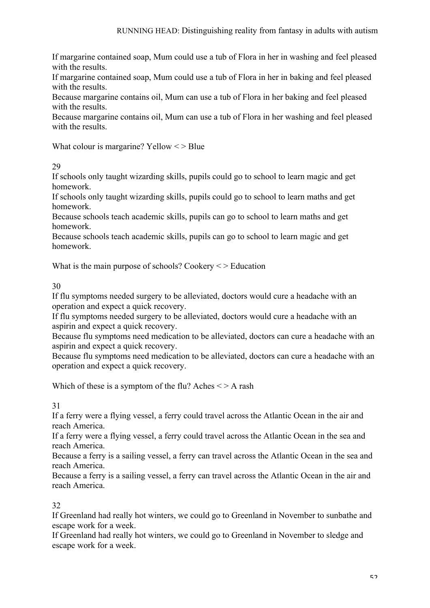If margarine contained soap, Mum could use a tub of Flora in her in washing and feel pleased with the results.

If margarine contained soap, Mum could use a tub of Flora in her in baking and feel pleased with the results.

Because margarine contains oil, Mum can use a tub of Flora in her baking and feel pleased with the results.

Because margarine contains oil, Mum can use a tub of Flora in her washing and feel pleased with the results.

What colour is margarine? Yellow  $\leq$  > Blue

# 29

If schools only taught wizarding skills, pupils could go to school to learn magic and get homework.

If schools only taught wizarding skills, pupils could go to school to learn maths and get homework.

Because schools teach academic skills, pupils can go to school to learn maths and get homework.

Because schools teach academic skills, pupils can go to school to learn magic and get homework.

What is the main purpose of schools? Cookery  $\leq$  Education

# 30

If flu symptoms needed surgery to be alleviated, doctors would cure a headache with an operation and expect a quick recovery.

If flu symptoms needed surgery to be alleviated, doctors would cure a headache with an aspirin and expect a quick recovery.

Because flu symptoms need medication to be alleviated, doctors can cure a headache with an aspirin and expect a quick recovery.

Because flu symptoms need medication to be alleviated, doctors can cure a headache with an operation and expect a quick recovery.

Which of these is a symptom of the flu? Aches  $\leq$  > A rash

31

If a ferry were a flying vessel, a ferry could travel across the Atlantic Ocean in the air and reach America.

If a ferry were a flying vessel, a ferry could travel across the Atlantic Ocean in the sea and reach America.

Because a ferry is a sailing vessel, a ferry can travel across the Atlantic Ocean in the sea and reach America.

Because a ferry is a sailing vessel, a ferry can travel across the Atlantic Ocean in the air and reach America.

# 32

If Greenland had really hot winters, we could go to Greenland in November to sunbathe and escape work for a week.

If Greenland had really hot winters, we could go to Greenland in November to sledge and escape work for a week.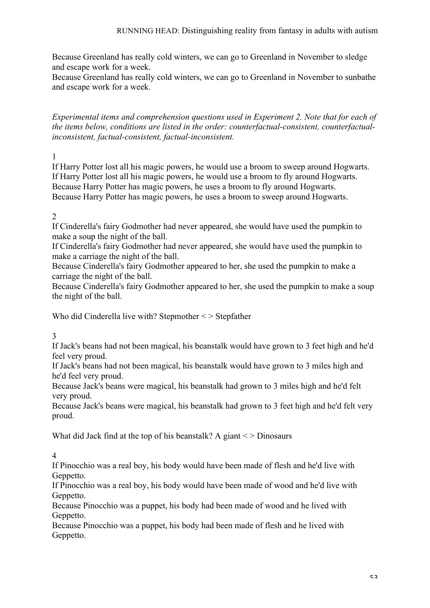Because Greenland has really cold winters, we can go to Greenland in November to sledge and escape work for a week.

Because Greenland has really cold winters, we can go to Greenland in November to sunbathe and escape work for a week.

*Experimental items and comprehension questions used in Experiment 2. Note that for each of the items below, conditions are listed in the order: counterfactual-consistent, counterfactualinconsistent, factual-consistent, factual-inconsistent.*

1

If Harry Potter lost all his magic powers, he would use a broom to sweep around Hogwarts. If Harry Potter lost all his magic powers, he would use a broom to fly around Hogwarts. Because Harry Potter has magic powers, he uses a broom to fly around Hogwarts. Because Harry Potter has magic powers, he uses a broom to sweep around Hogwarts.

# 2

If Cinderella's fairy Godmother had never appeared, she would have used the pumpkin to make a soup the night of the ball.

If Cinderella's fairy Godmother had never appeared, she would have used the pumpkin to make a carriage the night of the ball.

Because Cinderella's fairy Godmother appeared to her, she used the pumpkin to make a carriage the night of the ball.

Because Cinderella's fairy Godmother appeared to her, she used the pumpkin to make a soup the night of the ball.

Who did Cinderella live with? Stepmother <> Stepfather

3

If Jack's beans had not been magical, his beanstalk would have grown to 3 feet high and he'd feel very proud.

If Jack's beans had not been magical, his beanstalk would have grown to 3 miles high and he'd feel very proud.

Because Jack's beans were magical, his beanstalk had grown to 3 miles high and he'd felt very proud.

Because Jack's beans were magical, his beanstalk had grown to 3 feet high and he'd felt very proud.

What did Jack find at the top of his beanstalk? A giant  $\le$  > Dinosaurs

4

If Pinocchio was a real boy, his body would have been made of flesh and he'd live with Geppetto.

If Pinocchio was a real boy, his body would have been made of wood and he'd live with Geppetto.

Because Pinocchio was a puppet, his body had been made of wood and he lived with Geppetto.

Because Pinocchio was a puppet, his body had been made of flesh and he lived with Geppetto.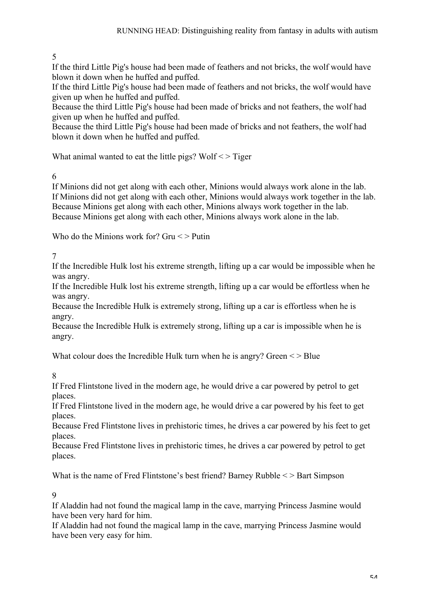# 5

If the third Little Pig's house had been made of feathers and not bricks, the wolf would have blown it down when he huffed and puffed.

If the third Little Pig's house had been made of feathers and not bricks, the wolf would have given up when he huffed and puffed.

Because the third Little Pig's house had been made of bricks and not feathers, the wolf had given up when he huffed and puffed.

Because the third Little Pig's house had been made of bricks and not feathers, the wolf had blown it down when he huffed and puffed.

What animal wanted to eat the little pigs? Wolf  $\leq$  Tiger

# 6

If Minions did not get along with each other, Minions would always work alone in the lab. If Minions did not get along with each other, Minions would always work together in the lab. Because Minions get along with each other, Minions always work together in the lab. Because Minions get along with each other, Minions always work alone in the lab.

Who do the Minions work for? Gru  $\le$  > Putin

# 7

If the Incredible Hulk lost his extreme strength, lifting up a car would be impossible when he was angry.

If the Incredible Hulk lost his extreme strength, lifting up a car would be effortless when he was angry.

Because the Incredible Hulk is extremely strong, lifting up a car is effortless when he is angry.

Because the Incredible Hulk is extremely strong, lifting up a car is impossible when he is angry.

What colour does the Incredible Hulk turn when he is angry? Green  $\leq$  Blue

# 8

If Fred Flintstone lived in the modern age, he would drive a car powered by petrol to get places.

If Fred Flintstone lived in the modern age, he would drive a car powered by his feet to get places.

Because Fred Flintstone lives in prehistoric times, he drives a car powered by his feet to get places.

Because Fred Flintstone lives in prehistoric times, he drives a car powered by petrol to get places.

What is the name of Fred Flintstone's best friend? Barney Rubble < > Bart Simpson

# 9

If Aladdin had not found the magical lamp in the cave, marrying Princess Jasmine would have been very hard for him.

If Aladdin had not found the magical lamp in the cave, marrying Princess Jasmine would have been very easy for him.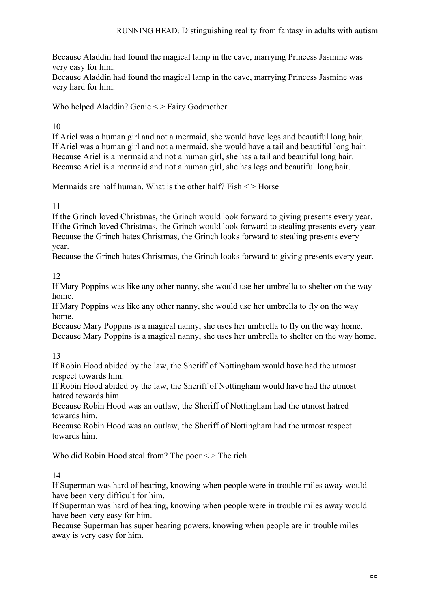# RUNNING HEAD: Distinguishing reality from fantasy in adults with autism

Because Aladdin had found the magical lamp in the cave, marrying Princess Jasmine was very easy for him.

Because Aladdin had found the magical lamp in the cave, marrying Princess Jasmine was very hard for him.

# Who helped Aladdin? Genie < > Fairy Godmother

# 10

If Ariel was a human girl and not a mermaid, she would have legs and beautiful long hair. If Ariel was a human girl and not a mermaid, she would have a tail and beautiful long hair. Because Ariel is a mermaid and not a human girl, she has a tail and beautiful long hair. Because Ariel is a mermaid and not a human girl, she has legs and beautiful long hair.

Mermaids are half human. What is the other half? Fish  $\leq$  Horse

11

If the Grinch loved Christmas, the Grinch would look forward to giving presents every year. If the Grinch loved Christmas, the Grinch would look forward to stealing presents every year. Because the Grinch hates Christmas, the Grinch looks forward to stealing presents every year.

Because the Grinch hates Christmas, the Grinch looks forward to giving presents every year.

12

If Mary Poppins was like any other nanny, she would use her umbrella to shelter on the way home.

If Mary Poppins was like any other nanny, she would use her umbrella to fly on the way home.

Because Mary Poppins is a magical nanny, she uses her umbrella to fly on the way home. Because Mary Poppins is a magical nanny, she uses her umbrella to shelter on the way home.

13

If Robin Hood abided by the law, the Sheriff of Nottingham would have had the utmost respect towards him.

If Robin Hood abided by the law, the Sheriff of Nottingham would have had the utmost hatred towards him.

Because Robin Hood was an outlaw, the Sheriff of Nottingham had the utmost hatred towards him.

Because Robin Hood was an outlaw, the Sheriff of Nottingham had the utmost respect towards him.

Who did Robin Hood steal from? The poor < > The rich

14

If Superman was hard of hearing, knowing when people were in trouble miles away would have been very difficult for him.

If Superman was hard of hearing, knowing when people were in trouble miles away would have been very easy for him.

Because Superman has super hearing powers, knowing when people are in trouble miles away is very easy for him.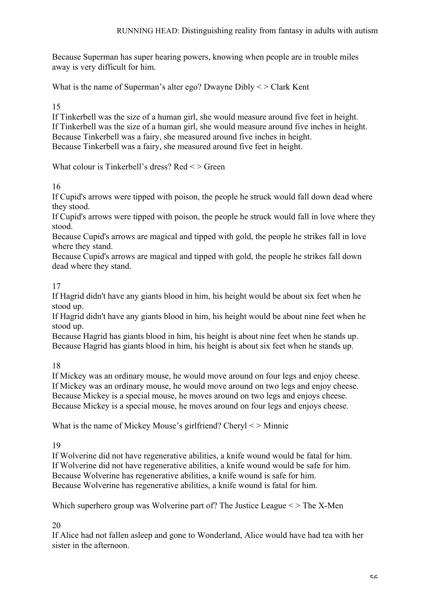Because Superman has super hearing powers, knowing when people are in trouble miles away is very difficult for him.

What is the name of Superman's alter ego? Dwayne  $Dibly \leq Clark$  Kent

15

If Tinkerbell was the size of a human girl, she would measure around five feet in height. If Tinkerbell was the size of a human girl, she would measure around five inches in height. Because Tinkerbell was a fairy, she measured around five inches in height. Because Tinkerbell was a fairy, she measured around five feet in height.

What colour is Tinkerbell's dress?  $Red \leq$  Green

# 16

If Cupid's arrows were tipped with poison, the people he struck would fall down dead where they stood.

If Cupid's arrows were tipped with poison, the people he struck would fall in love where they stood.

Because Cupid's arrows are magical and tipped with gold, the people he strikes fall in love where they stand.

Because Cupid's arrows are magical and tipped with gold, the people he strikes fall down dead where they stand.

# 17

If Hagrid didn't have any giants blood in him, his height would be about six feet when he stood up.

If Hagrid didn't have any giants blood in him, his height would be about nine feet when he stood up.

Because Hagrid has giants blood in him, his height is about nine feet when he stands up. Because Hagrid has giants blood in him, his height is about six feet when he stands up.

18

If Mickey was an ordinary mouse, he would move around on four legs and enjoy cheese. If Mickey was an ordinary mouse, he would move around on two legs and enjoy cheese. Because Mickey is a special mouse, he moves around on two legs and enjoys cheese. Because Mickey is a special mouse, he moves around on four legs and enjoys cheese.

What is the name of Mickey Mouse's girlfriend? Cheryl <> Minnie

19

If Wolverine did not have regenerative abilities, a knife wound would be fatal for him. If Wolverine did not have regenerative abilities, a knife wound would be safe for him. Because Wolverine has regenerative abilities, a knife wound is safe for him. Because Wolverine has regenerative abilities, a knife wound is fatal for him.

Which superhero group was Wolverine part of? The Justice League  $\leq$  The X-Men

20

If Alice had not fallen asleep and gone to Wonderland, Alice would have had tea with her sister in the afternoon.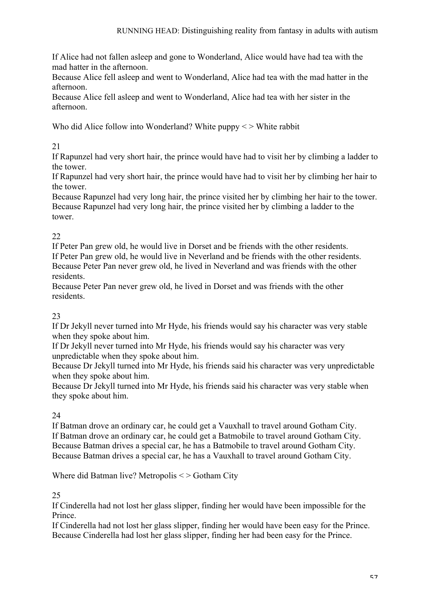If Alice had not fallen asleep and gone to Wonderland, Alice would have had tea with the mad hatter in the afternoon.

Because Alice fell asleep and went to Wonderland, Alice had tea with the mad hatter in the afternoon.

Because Alice fell asleep and went to Wonderland, Alice had tea with her sister in the afternoon.

Who did Alice follow into Wonderland? White  $pupp \leq >$  White rabbit

# 21

If Rapunzel had very short hair, the prince would have had to visit her by climbing a ladder to the tower.

If Rapunzel had very short hair, the prince would have had to visit her by climbing her hair to the tower.

Because Rapunzel had very long hair, the prince visited her by climbing her hair to the tower. Because Rapunzel had very long hair, the prince visited her by climbing a ladder to the tower.

# 22

If Peter Pan grew old, he would live in Dorset and be friends with the other residents. If Peter Pan grew old, he would live in Neverland and be friends with the other residents. Because Peter Pan never grew old, he lived in Neverland and was friends with the other residents.

Because Peter Pan never grew old, he lived in Dorset and was friends with the other residents.

# 23

If Dr Jekyll never turned into Mr Hyde, his friends would say his character was very stable when they spoke about him.

If Dr Jekyll never turned into Mr Hyde, his friends would say his character was very unpredictable when they spoke about him.

Because Dr Jekyll turned into Mr Hyde, his friends said his character was very unpredictable when they spoke about him.

Because Dr Jekyll turned into Mr Hyde, his friends said his character was very stable when they spoke about him.

# 24

If Batman drove an ordinary car, he could get a Vauxhall to travel around Gotham City. If Batman drove an ordinary car, he could get a Batmobile to travel around Gotham City. Because Batman drives a special car, he has a Batmobile to travel around Gotham City. Because Batman drives a special car, he has a Vauxhall to travel around Gotham City.

Where did Batman live? Metropolis < > Gotham City

# 25

If Cinderella had not lost her glass slipper, finding her would have been impossible for the Prince.

If Cinderella had not lost her glass slipper, finding her would have been easy for the Prince. Because Cinderella had lost her glass slipper, finding her had been easy for the Prince.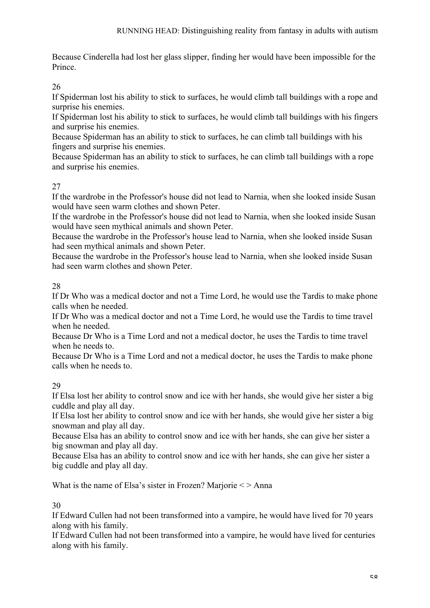Because Cinderella had lost her glass slipper, finding her would have been impossible for the Prince.

# 26

If Spiderman lost his ability to stick to surfaces, he would climb tall buildings with a rope and surprise his enemies.

If Spiderman lost his ability to stick to surfaces, he would climb tall buildings with his fingers and surprise his enemies.

Because Spiderman has an ability to stick to surfaces, he can climb tall buildings with his fingers and surprise his enemies.

Because Spiderman has an ability to stick to surfaces, he can climb tall buildings with a rope and surprise his enemies.

# 27

If the wardrobe in the Professor's house did not lead to Narnia, when she looked inside Susan would have seen warm clothes and shown Peter.

If the wardrobe in the Professor's house did not lead to Narnia, when she looked inside Susan would have seen mythical animals and shown Peter.

Because the wardrobe in the Professor's house lead to Narnia, when she looked inside Susan had seen mythical animals and shown Peter.

Because the wardrobe in the Professor's house lead to Narnia, when she looked inside Susan had seen warm clothes and shown Peter.

# 28

If Dr Who was a medical doctor and not a Time Lord, he would use the Tardis to make phone calls when he needed.

If Dr Who was a medical doctor and not a Time Lord, he would use the Tardis to time travel when he needed.

Because Dr Who is a Time Lord and not a medical doctor, he uses the Tardis to time travel when he needs to.

Because Dr Who is a Time Lord and not a medical doctor, he uses the Tardis to make phone calls when he needs to.

# 29

If Elsa lost her ability to control snow and ice with her hands, she would give her sister a big cuddle and play all day.

If Elsa lost her ability to control snow and ice with her hands, she would give her sister a big snowman and play all day.

Because Elsa has an ability to control snow and ice with her hands, she can give her sister a big snowman and play all day.

Because Elsa has an ability to control snow and ice with her hands, she can give her sister a big cuddle and play all day.

What is the name of Elsa's sister in Frozen? Marjorie <> Anna

# 30

If Edward Cullen had not been transformed into a vampire, he would have lived for 70 years along with his family.

If Edward Cullen had not been transformed into a vampire, he would have lived for centuries along with his family.